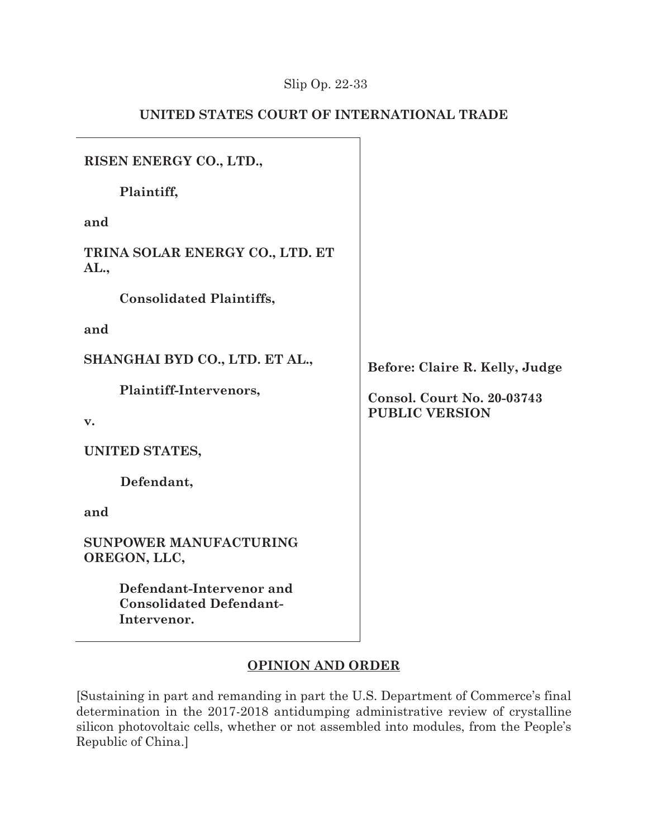# Slip Op. 22-33

# **UNITED STATES COURT OF INTERNATIONAL TRADE**

h

| RISEN ENERGY CO., LTD.,                                                   |                                   |
|---------------------------------------------------------------------------|-----------------------------------|
| Plaintiff,                                                                |                                   |
| and                                                                       |                                   |
| TRINA SOLAR ENERGY CO., LTD. ET<br>AL.,                                   |                                   |
| <b>Consolidated Plaintiffs,</b>                                           |                                   |
| and                                                                       |                                   |
| SHANGHAI BYD CO., LTD. ET AL.,                                            | Before: Claire R. Kelly, Judge    |
| Plaintiff-Intervenors,                                                    | <b>Consol. Court No. 20-03743</b> |
| v.                                                                        | <b>PUBLIC VERSION</b>             |
| UNITED STATES,                                                            |                                   |
| Defendant,                                                                |                                   |
| and                                                                       |                                   |
| <b>SUNPOWER MANUFACTURING</b><br>OREGON, LLC,                             |                                   |
| Defendant-Intervenor and<br><b>Consolidated Defendant-</b><br>Intervenor. |                                   |

# **OPINION AND ORDER**

[Sustaining in part and remanding in part the U.S. Department of Commerce's final determination in the 2017-2018 antidumping administrative review of crystalline silicon photovoltaic cells, whether or not assembled into modules, from the People's Republic of China.]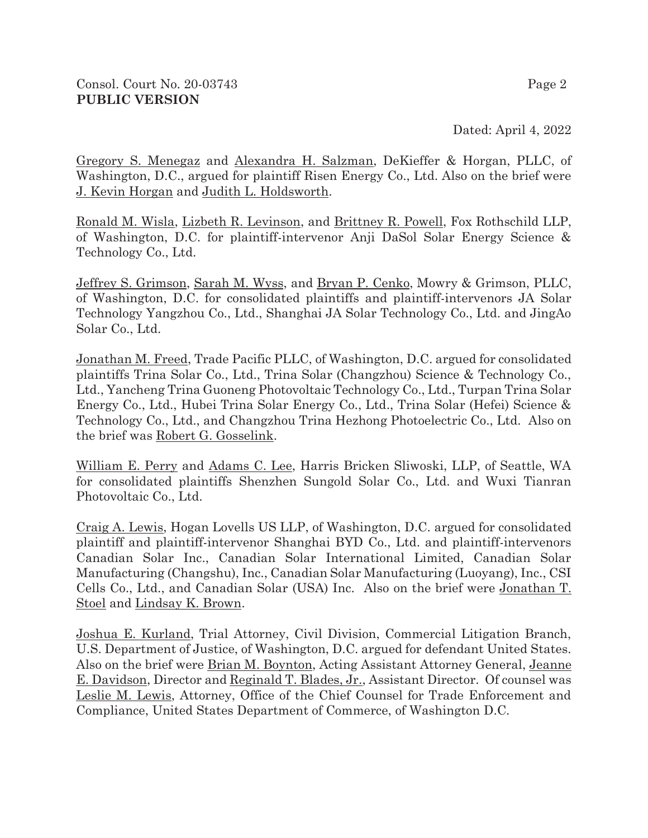Dated: April 4, 2022

Gregory S. Menegaz and Alexandra H. Salzman, DeKieffer & Horgan, PLLC, of Washington, D.C., argued for plaintiff Risen Energy Co., Ltd. Also on the brief were J. Kevin Horgan and Judith L. Holdsworth.

Ronald M. Wisla, Lizbeth R. Levinson, and Brittney R. Powell, Fox Rothschild LLP, of Washington, D.C. for plaintiff-intervenor Anji DaSol Solar Energy Science & Technology Co., Ltd.

Jeffrey S. Grimson, Sarah M. Wyss, and Bryan P. Cenko, Mowry & Grimson, PLLC, of Washington, D.C. for consolidated plaintiffs and plaintiff-intervenors JA Solar Technology Yangzhou Co., Ltd., Shanghai JA Solar Technology Co., Ltd. and JingAo Solar Co., Ltd.

Jonathan M. Freed, Trade Pacific PLLC, of Washington, D.C. argued for consolidated plaintiffs Trina Solar Co., Ltd., Trina Solar (Changzhou) Science & Technology Co., Ltd., Yancheng Trina Guoneng Photovoltaic Technology Co., Ltd., Turpan Trina Solar Energy Co., Ltd., Hubei Trina Solar Energy Co., Ltd., Trina Solar (Hefei) Science & Technology Co., Ltd., and Changzhou Trina Hezhong Photoelectric Co., Ltd. Also on the brief was Robert G. Gosselink.

William E. Perry and Adams C. Lee, Harris Bricken Sliwoski, LLP, of Seattle, WA for consolidated plaintiffs Shenzhen Sungold Solar Co., Ltd. and Wuxi Tianran Photovoltaic Co., Ltd.

Craig A. Lewis, Hogan Lovells US LLP, of Washington, D.C. argued for consolidated plaintiff and plaintiff-intervenor Shanghai BYD Co., Ltd. and plaintiff-intervenors Canadian Solar Inc., Canadian Solar International Limited, Canadian Solar Manufacturing (Changshu), Inc., Canadian Solar Manufacturing (Luoyang), Inc., CSI Cells Co., Ltd., and Canadian Solar (USA) Inc. Also on the brief were Jonathan T. Stoel and Lindsay K. Brown.

Joshua E. Kurland, Trial Attorney, Civil Division, Commercial Litigation Branch, U.S. Department of Justice, of Washington, D.C. argued for defendant United States. Also on the brief were Brian M. Boynton, Acting Assistant Attorney General, Jeanne E. Davidson, Director and Reginald T. Blades, Jr., Assistant Director. Of counsel was Leslie M. Lewis, Attorney, Office of the Chief Counsel for Trade Enforcement and Compliance, United States Department of Commerce, of Washington D.C.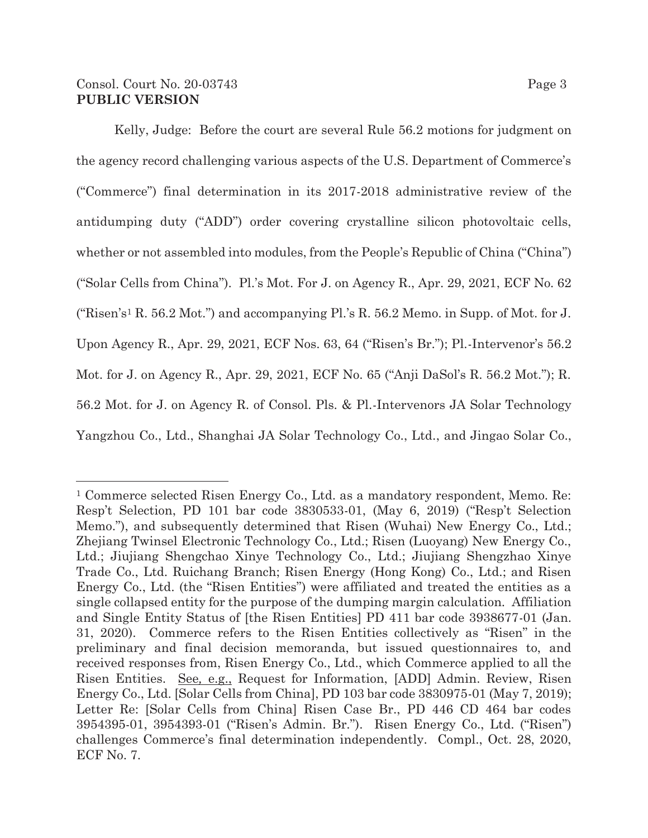### Consol. Court No. 20-03743 Page 3 **PUBLIC VERSION**

Kelly, Judge: Before the court are several Rule 56.2 motions for judgment on the agency record challenging various aspects of the U.S. Department of Commerce's ("Commerce") final determination in its 2017-2018 administrative review of the antidumping duty ("ADD") order covering crystalline silicon photovoltaic cells, whether or not assembled into modules, from the People's Republic of China ("China") ("Solar Cells from China"). Pl.'s Mot. For J. on Agency R., Apr. 29, 2021, ECF No. 62 ("Risen's<sup>1</sup> R. 56.2 Mot.") and accompanying Pl.'s R. 56.2 Memo. in Supp. of Mot. for J. Upon Agency R., Apr. 29, 2021, ECF Nos. 63, 64 ("Risen's Br."); Pl.-Intervenor's 56.2 Mot. for J. on Agency R., Apr. 29, 2021, ECF No. 65 ("Anji DaSol's R. 56.2 Mot."); R. 56.2 Mot. for J. on Agency R. of Consol. Pls. & Pl.-Intervenors JA Solar Technology Yangzhou Co., Ltd., Shanghai JA Solar Technology Co., Ltd., and Jingao Solar Co.,

<sup>1</sup> Commerce selected Risen Energy Co., Ltd. as a mandatory respondent, Memo. Re: Resp't Selection, PD 101 bar code 3830533-01, (May 6, 2019) ("Resp't Selection Memo."), and subsequently determined that Risen (Wuhai) New Energy Co., Ltd.; Zhejiang Twinsel Electronic Technology Co., Ltd.; Risen (Luoyang) New Energy Co., Ltd.; Jiujiang Shengchao Xinye Technology Co., Ltd.; Jiujiang Shengzhao Xinye Trade Co., Ltd. Ruichang Branch; Risen Energy (Hong Kong) Co., Ltd.; and Risen Energy Co., Ltd. (the "Risen Entities") were affiliated and treated the entities as a single collapsed entity for the purpose of the dumping margin calculation. Affiliation and Single Entity Status of [the Risen Entities] PD 411 bar code 3938677-01 (Jan. 31, 2020). Commerce refers to the Risen Entities collectively as "Risen" in the preliminary and final decision memoranda, but issued questionnaires to, and received responses from, Risen Energy Co., Ltd., which Commerce applied to all the Risen Entities. See*,* e.g., Request for Information, [ADD] Admin. Review, Risen Energy Co., Ltd. [Solar Cells from China], PD 103 bar code 3830975-01 (May 7, 2019); Letter Re: [Solar Cells from China] Risen Case Br., PD 446 CD 464 bar codes 3954395-01, 3954393-01 ("Risen's Admin. Br."). Risen Energy Co., Ltd. ("Risen") challenges Commerce's final determination independently. Compl., Oct. 28, 2020, ECF No. 7.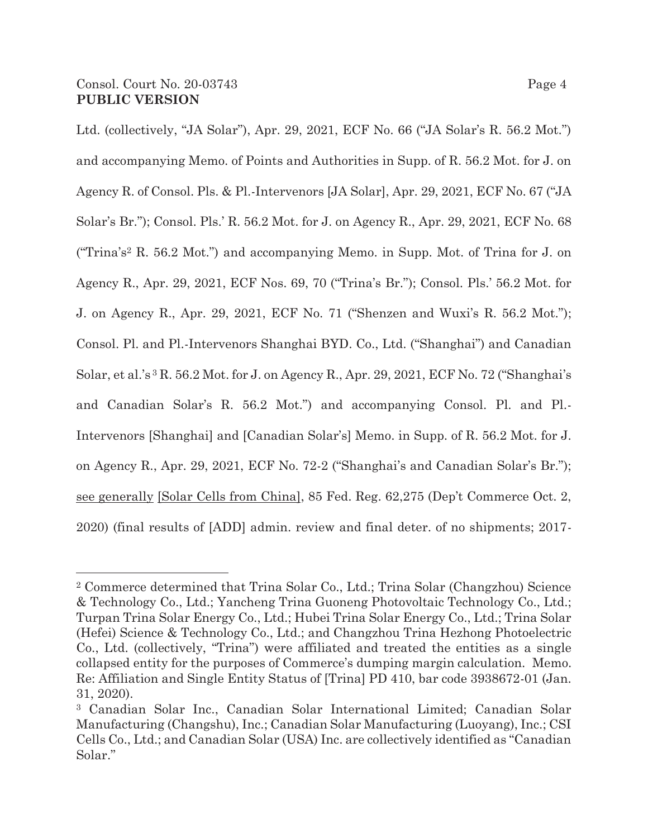Ltd. (collectively, "JA Solar"), Apr. 29, 2021, ECF No. 66 ("JA Solar's R. 56.2 Mot.") and accompanying Memo. of Points and Authorities in Supp. of R. 56.2 Mot. for J. on Agency R. of Consol. Pls. & Pl.-Intervenors [JA Solar], Apr. 29, 2021, ECF No. 67 ("JA Solar's Br."); Consol. Pls.' R. 56.2 Mot. for J. on Agency R., Apr. 29, 2021, ECF No. 68 ("Trina's2 R. 56.2 Mot.") and accompanying Memo. in Supp. Mot. of Trina for J. on Agency R., Apr. 29, 2021, ECF Nos. 69, 70 ("Trina's Br."); Consol. Pls.' 56.2 Mot. for J. on Agency R., Apr. 29, 2021, ECF No. 71 ("Shenzen and Wuxi's R. 56.2 Mot."); Consol. Pl. and Pl.-Intervenors Shanghai BYD. Co., Ltd. ("Shanghai") and Canadian Solar, et al.'s 3 R. 56.2 Mot. for J. on Agency R., Apr. 29, 2021, ECF No. 72 ("Shanghai's and Canadian Solar's R. 56.2 Mot.") and accompanying Consol. Pl. and Pl.- Intervenors [Shanghai] and [Canadian Solar's] Memo. in Supp. of R. 56.2 Mot. for J. on Agency R., Apr. 29, 2021, ECF No. 72-2 ("Shanghai's and Canadian Solar's Br."); see generally [Solar Cells from China], 85 Fed. Reg. 62,275 (Dep't Commerce Oct. 2, 2020) (final results of [ADD] admin. review and final deter. of no shipments; 2017-

<sup>2</sup> Commerce determined that Trina Solar Co., Ltd.; Trina Solar (Changzhou) Science & Technology Co., Ltd.; Yancheng Trina Guoneng Photovoltaic Technology Co., Ltd.; Turpan Trina Solar Energy Co., Ltd.; Hubei Trina Solar Energy Co., Ltd.; Trina Solar (Hefei) Science & Technology Co., Ltd.; and Changzhou Trina Hezhong Photoelectric Co., Ltd. (collectively, "Trina") were affiliated and treated the entities as a single collapsed entity for the purposes of Commerce's dumping margin calculation. Memo. Re: Affiliation and Single Entity Status of [Trina] PD 410, bar code 3938672-01 (Jan. 31, 2020).

<sup>3</sup> Canadian Solar Inc., Canadian Solar International Limited; Canadian Solar Manufacturing (Changshu), Inc.; Canadian Solar Manufacturing (Luoyang), Inc.; CSI Cells Co., Ltd.; and Canadian Solar (USA) Inc. are collectively identified as "Canadian Solar."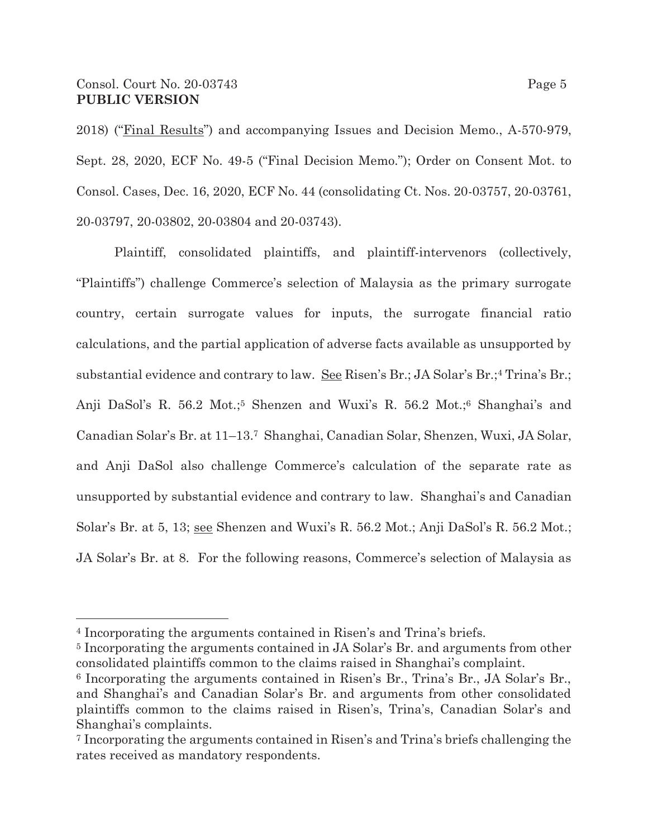### Consol. Court No. 20-03743 Page 5 **PUBLIC VERSION**

2018) ("Final Results") and accompanying Issues and Decision Memo., A-570-979, Sept. 28, 2020, ECF No. 49-5 ("Final Decision Memo."); Order on Consent Mot. to Consol. Cases, Dec. 16, 2020, ECF No. 44 (consolidating Ct. Nos. 20-03757, 20-03761, 20-03797, 20-03802, 20-03804 and 20-03743).

Plaintiff, consolidated plaintiffs, and plaintiff-intervenors (collectively, "Plaintiffs") challenge Commerce's selection of Malaysia as the primary surrogate country, certain surrogate values for inputs, the surrogate financial ratio calculations, and the partial application of adverse facts available as unsupported by substantial evidence and contrary to law. See Risen's Br.; JA Solar's Br.;<sup>4</sup> Trina's Br.; Anji DaSol's R. 56.2 Mot.;<sup>5</sup> Shenzen and Wuxi's R. 56.2 Mot.;<sup>6</sup> Shanghai's and Canadian Solar's Br. at 11–13.7 Shanghai, Canadian Solar, Shenzen, Wuxi, JA Solar, and Anji DaSol also challenge Commerce's calculation of the separate rate as unsupported by substantial evidence and contrary to law. Shanghai's and Canadian Solar's Br. at 5, 13; see Shenzen and Wuxi's R. 56.2 Mot.; Anji DaSol's R. 56.2 Mot.; JA Solar's Br. at 8. For the following reasons, Commerce's selection of Malaysia as

<sup>4</sup> Incorporating the arguments contained in Risen's and Trina's briefs.

<sup>5</sup> Incorporating the arguments contained in JA Solar's Br. and arguments from other consolidated plaintiffs common to the claims raised in Shanghai's complaint.

<sup>6</sup> Incorporating the arguments contained in Risen's Br., Trina's Br., JA Solar's Br., and Shanghai's and Canadian Solar's Br. and arguments from other consolidated plaintiffs common to the claims raised in Risen's, Trina's, Canadian Solar's and Shanghai's complaints.

<sup>7</sup> Incorporating the arguments contained in Risen's and Trina's briefs challenging the rates received as mandatory respondents.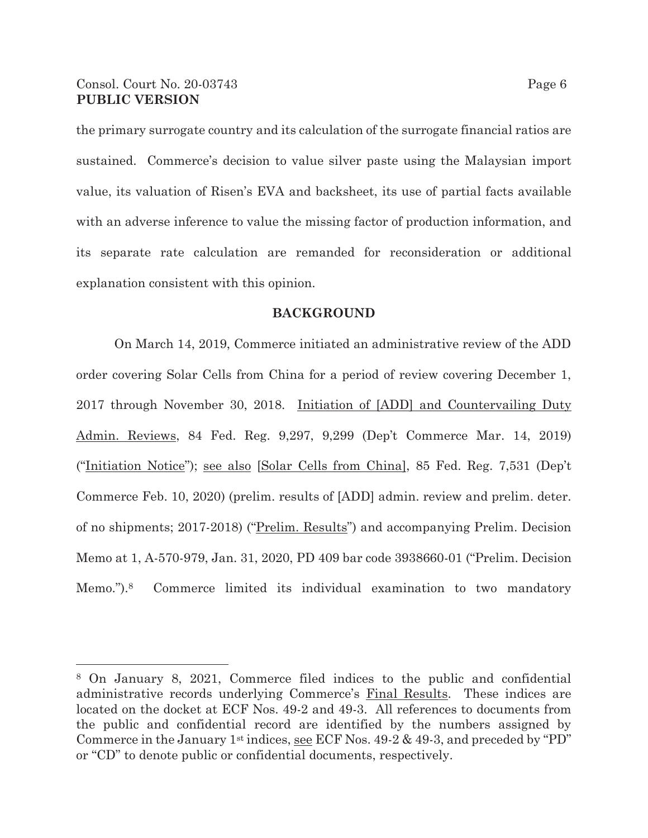### Consol. Court No. 20-03743 Page 6 **PUBLIC VERSION**

the primary surrogate country and its calculation of the surrogate financial ratios are sustained. Commerce's decision to value silver paste using the Malaysian import value, its valuation of Risen's EVA and backsheet, its use of partial facts available with an adverse inference to value the missing factor of production information, and its separate rate calculation are remanded for reconsideration or additional explanation consistent with this opinion.

#### **BACKGROUND**

On March 14, 2019, Commerce initiated an administrative review of the ADD order covering Solar Cells from China for a period of review covering December 1, 2017 through November 30, 2018. Initiation of [ADD] and Countervailing Duty Admin. Reviews, 84 Fed. Reg. 9,297, 9,299 (Dep't Commerce Mar. 14, 2019) ("Initiation Notice"); see also [Solar Cells from China], 85 Fed. Reg. 7,531 (Dep't Commerce Feb. 10, 2020) (prelim. results of [ADD] admin. review and prelim. deter. of no shipments; 2017-2018) ("Prelim. Results") and accompanying Prelim. Decision Memo at 1, A-570-979, Jan. 31, 2020, PD 409 bar code 3938660-01 ("Prelim. Decision Memo.").8 Commerce limited its individual examination to two mandatory

<sup>8</sup> On January 8, 2021, Commerce filed indices to the public and confidential administrative records underlying Commerce's Final Results. These indices are located on the docket at ECF Nos. 49-2 and 49-3. All references to documents from the public and confidential record are identified by the numbers assigned by Commerce in the January 1<sup>st</sup> indices, see ECF Nos.  $49-2 \& 49-3$ , and preceded by "PD" or "CD" to denote public or confidential documents, respectively.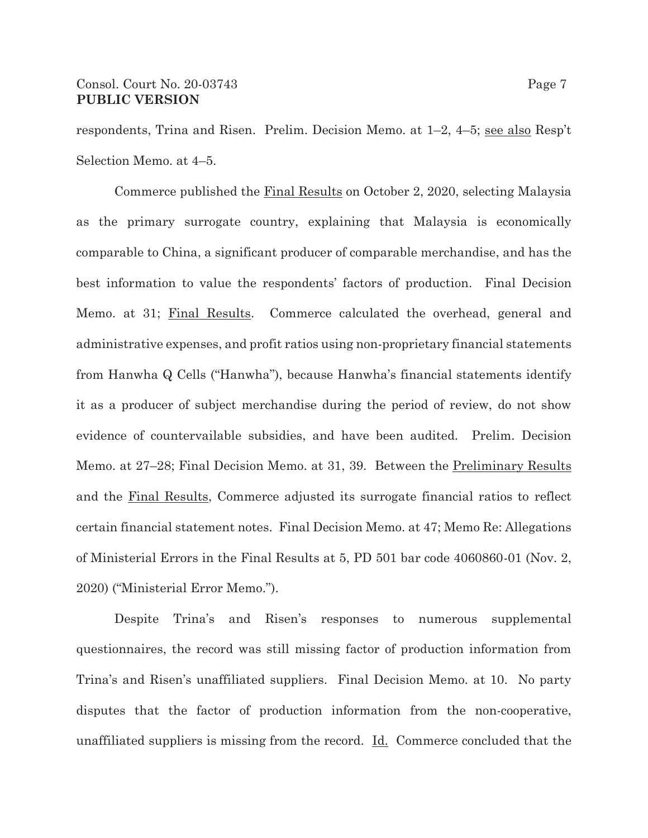respondents, Trina and Risen. Prelim. Decision Memo. at 1–2, 4–5; see also Resp't Selection Memo. at 4–5.

Commerce published the Final Results on October 2, 2020, selecting Malaysia as the primary surrogate country, explaining that Malaysia is economically comparable to China, a significant producer of comparable merchandise, and has the best information to value the respondents' factors of production. Final Decision Memo. at 31; Final Results. Commerce calculated the overhead, general and administrative expenses, and profit ratios using non-proprietary financial statements from Hanwha Q Cells ("Hanwha"), because Hanwha's financial statements identify it as a producer of subject merchandise during the period of review, do not show evidence of countervailable subsidies, and have been audited. Prelim. Decision Memo. at 27–28; Final Decision Memo. at 31, 39. Between the Preliminary Results and the Final Results, Commerce adjusted its surrogate financial ratios to reflect certain financial statement notes. Final Decision Memo. at 47; Memo Re: Allegations of Ministerial Errors in the Final Results at 5, PD 501 bar code 4060860-01 (Nov. 2, 2020) ("Ministerial Error Memo.").

Despite Trina's and Risen's responses to numerous supplemental questionnaires, the record was still missing factor of production information from Trina's and Risen's unaffiliated suppliers. Final Decision Memo. at 10. No party disputes that the factor of production information from the non-cooperative, unaffiliated suppliers is missing from the record. Id. Commerce concluded that the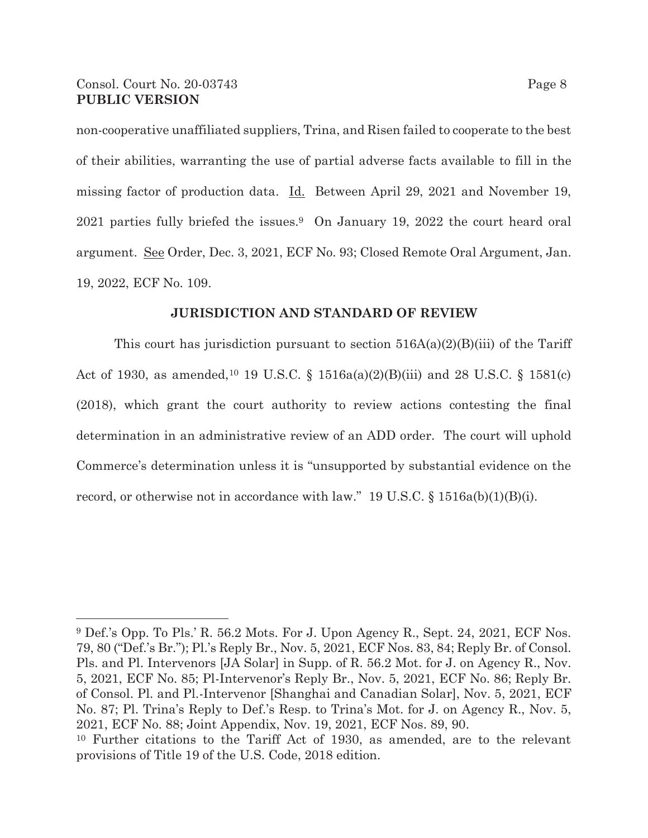### Consol. Court No. 20-03743 Page 8 **PUBLIC VERSION**

non-cooperative unaffiliated suppliers, Trina, and Risen failed to cooperate to the best of their abilities, warranting the use of partial adverse facts available to fill in the missing factor of production data. Id. Between April 29, 2021 and November 19, 2021 parties fully briefed the issues.9 On January 19, 2022 the court heard oral argument. See Order, Dec. 3, 2021, ECF No. 93; Closed Remote Oral Argument, Jan. 19, 2022, ECF No. 109.

#### **JURISDICTION AND STANDARD OF REVIEW**

This court has jurisdiction pursuant to section  $516A(a)(2)(B(iii)$  of the Tariff Act of 1930, as amended,<sup>10</sup> 19 U.S.C. § 1516a(a)(2)(B)(iii) and 28 U.S.C. § 1581(c) (2018), which grant the court authority to review actions contesting the final determination in an administrative review of an ADD order. The court will uphold Commerce's determination unless it is "unsupported by substantial evidence on the record, or otherwise not in accordance with law." 19 U.S.C. § 1516a(b)(1)(B)(i).

9 Def.'s Opp. To Pls.' R. 56.2 Mots. For J. Upon Agency R., Sept. 24, 2021, ECF Nos. 79, 80 ("Def.'s Br."); Pl.'s Reply Br., Nov. 5, 2021, ECF Nos. 83, 84; Reply Br. of Consol. Pls. and Pl. Intervenors [JA Solar] in Supp. of R. 56.2 Mot. for J. on Agency R., Nov. 5, 2021, ECF No. 85; Pl-Intervenor's Reply Br., Nov. 5, 2021, ECF No. 86; Reply Br. of Consol. Pl. and Pl.-Intervenor [Shanghai and Canadian Solar], Nov. 5, 2021, ECF No. 87; Pl. Trina's Reply to Def.'s Resp. to Trina's Mot. for J. on Agency R., Nov. 5, 2021, ECF No. 88; Joint Appendix, Nov. 19, 2021, ECF Nos. 89, 90. 10 Further citations to the Tariff Act of 1930, as amended, are to the relevant

provisions of Title 19 of the U.S. Code, 2018 edition.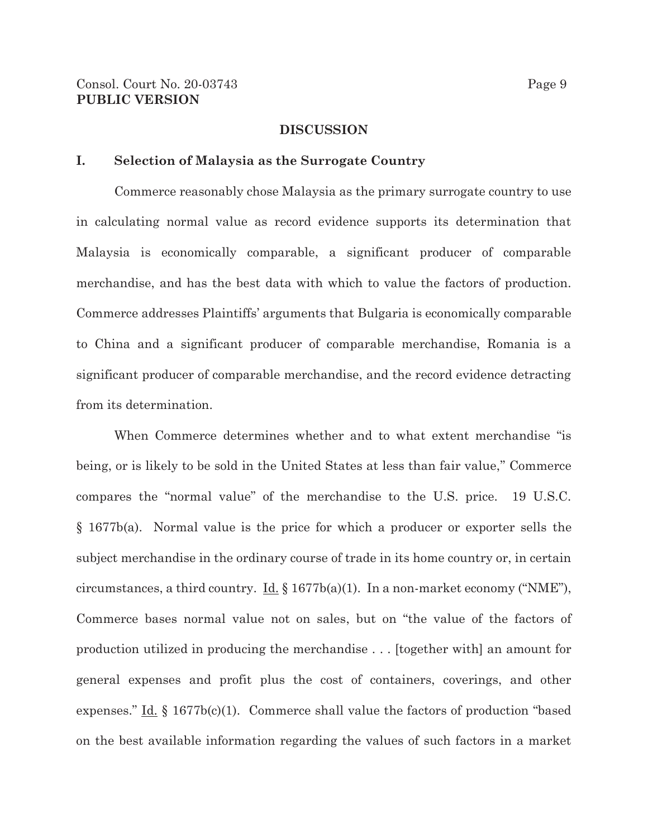#### **DISCUSSION**

#### **I. Selection of Malaysia as the Surrogate Country**

Commerce reasonably chose Malaysia as the primary surrogate country to use in calculating normal value as record evidence supports its determination that Malaysia is economically comparable, a significant producer of comparable merchandise, and has the best data with which to value the factors of production. Commerce addresses Plaintiffs' arguments that Bulgaria is economically comparable to China and a significant producer of comparable merchandise, Romania is a significant producer of comparable merchandise, and the record evidence detracting from its determination.

 When Commerce determines whether and to what extent merchandise "is being, or is likely to be sold in the United States at less than fair value," Commerce compares the "normal value" of the merchandise to the U.S. price. 19 U.S.C. § 1677b(a). Normal value is the price for which a producer or exporter sells the subject merchandise in the ordinary course of trade in its home country or, in certain circumstances, a third country. Id.  $\S 1677b(a)(1)$ . In a non-market economy ("NME"), Commerce bases normal value not on sales, but on "the value of the factors of production utilized in producing the merchandise . . . [together with] an amount for general expenses and profit plus the cost of containers, coverings, and other expenses." Id.  $\S$  1677b(c)(1). Commerce shall value the factors of production "based on the best available information regarding the values of such factors in a market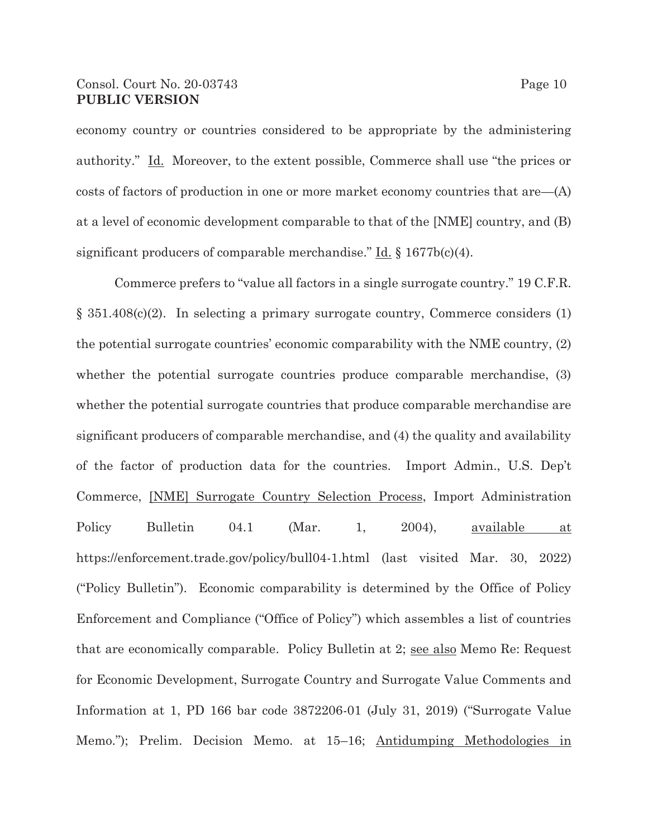### Consol. Court No. 20-03743 Page 10 **PUBLIC VERSION**

economy country or countries considered to be appropriate by the administering authority." Id. Moreover, to the extent possible, Commerce shall use "the prices or costs of factors of production in one or more market economy countries that are—(A) at a level of economic development comparable to that of the [NME] country, and (B) significant producers of comparable merchandise." Id. § 1677b(c)(4).

Commerce prefers to "value all factors in a single surrogate country." 19 C.F.R. § 351.408(c)(2). In selecting a primary surrogate country, Commerce considers (1) the potential surrogate countries' economic comparability with the NME country, (2) whether the potential surrogate countries produce comparable merchandise, (3) whether the potential surrogate countries that produce comparable merchandise are significant producers of comparable merchandise, and (4) the quality and availability of the factor of production data for the countries. Import Admin., U.S. Dep't Commerce, [NME] Surrogate Country Selection Process, Import Administration Policy Bulletin 04.1 (Mar. 1, 2004), <u>available at</u> https://enforcement.trade.gov/policy/bull04-1.html (last visited Mar. 30, 2022) ("Policy Bulletin"). Economic comparability is determined by the Office of Policy Enforcement and Compliance ("Office of Policy") which assembles a list of countries that are economically comparable. Policy Bulletin at 2; see also Memo Re: Request for Economic Development, Surrogate Country and Surrogate Value Comments and Information at 1, PD 166 bar code 3872206-01 (July 31, 2019) ("Surrogate Value Memo."); Prelim. Decision Memo. at 15–16; Antidumping Methodologies in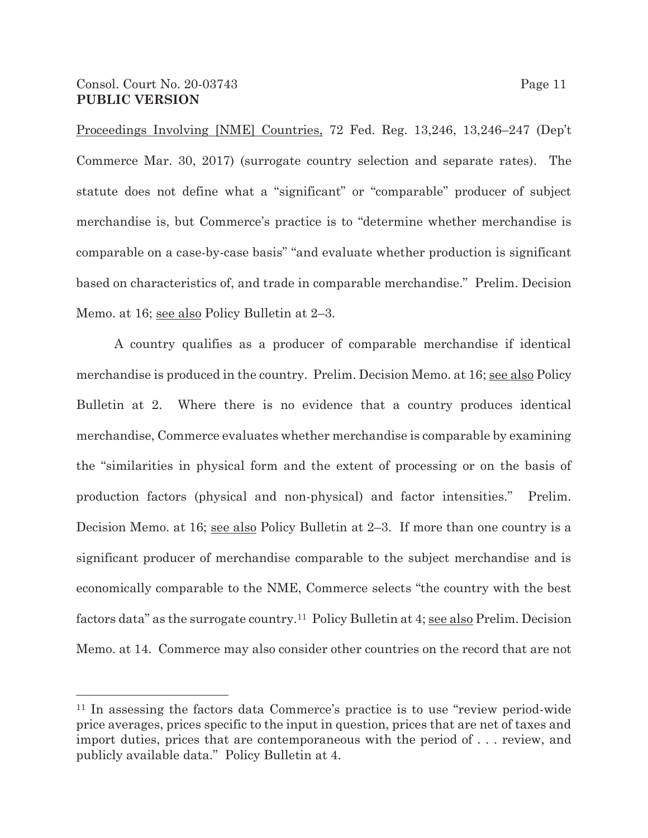Proceedings Involving [NME] Countries, 72 Fed. Reg. 13,246, 13,246–247 (Dep't Commerce Mar. 30, 2017) (surrogate country selection and separate rates). The statute does not define what a "significant" or "comparable" producer of subject merchandise is, but Commerce's practice is to "determine whether merchandise is comparable on a case-by-case basis" "and evaluate whether production is significant based on characteristics of, and trade in comparable merchandise." Prelim. Decision Memo. at 16; see also Policy Bulletin at 2–3.

A country qualifies as a producer of comparable merchandise if identical merchandise is produced in the country. Prelim. Decision Memo. at 16; see also Policy Bulletin at 2. Where there is no evidence that a country produces identical merchandise, Commerce evaluates whether merchandise is comparable by examining the "similarities in physical form and the extent of processing or on the basis of production factors (physical and non-physical) and factor intensities." Prelim. Decision Memo. at 16; see also Policy Bulletin at 2–3. If more than one country is a significant producer of merchandise comparable to the subject merchandise and is economically comparable to the NME, Commerce selects "the country with the best factors data" as the surrogate country.<sup>11</sup> Policy Bulletin at 4; see also Prelim. Decision Memo. at 14. Commerce may also consider other countries on the record that are not

<sup>11</sup> In assessing the factors data Commerce's practice is to use "review period-wide price averages, prices specific to the input in question, prices that are net of taxes and import duties, prices that are contemporaneous with the period of . . . review, and publicly available data." Policy Bulletin at 4.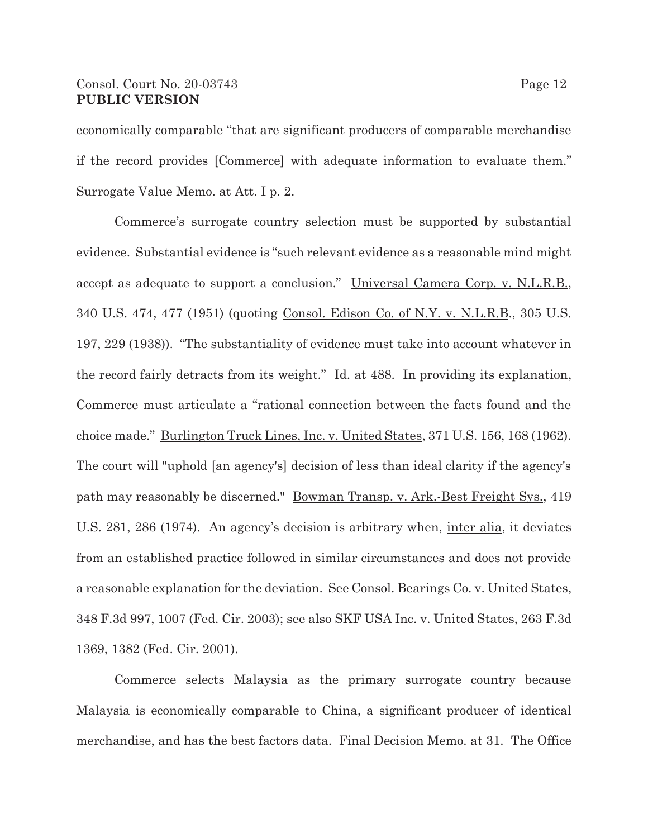### Consol. Court No. 20-03743 Page 12 **PUBLIC VERSION**

economically comparable "that are significant producers of comparable merchandise if the record provides [Commerce] with adequate information to evaluate them." Surrogate Value Memo. at Att. I p. 2.

Commerce's surrogate country selection must be supported by substantial evidence. Substantial evidence is "such relevant evidence as a reasonable mind might accept as adequate to support a conclusion." Universal Camera Corp. v. N.L.R.B., 340 U.S. 474, 477 (1951) (quoting Consol. Edison Co. of N.Y. v. N.L.R.B., 305 U.S. 197, 229 (1938)). "The substantiality of evidence must take into account whatever in the record fairly detracts from its weight." Id. at 488. In providing its explanation, Commerce must articulate a "rational connection between the facts found and the choice made." Burlington Truck Lines, Inc. v. United States, 371 U.S. 156, 168 (1962). The court will "uphold [an agency's] decision of less than ideal clarity if the agency's path may reasonably be discerned." Bowman Transp. v. Ark.-Best Freight Sys., 419 U.S. 281, 286 (1974). An agency's decision is arbitrary when, <u>inter alia</u>, it deviates from an established practice followed in similar circumstances and does not provide a reasonable explanation for the deviation. See Consol. Bearings Co. v. United States, 348 F.3d 997, 1007 (Fed. Cir. 2003); see also SKF USA Inc. v. United States, 263 F.3d 1369, 1382 (Fed. Cir. 2001).

Commerce selects Malaysia as the primary surrogate country because Malaysia is economically comparable to China, a significant producer of identical merchandise, and has the best factors data. Final Decision Memo. at 31. The Office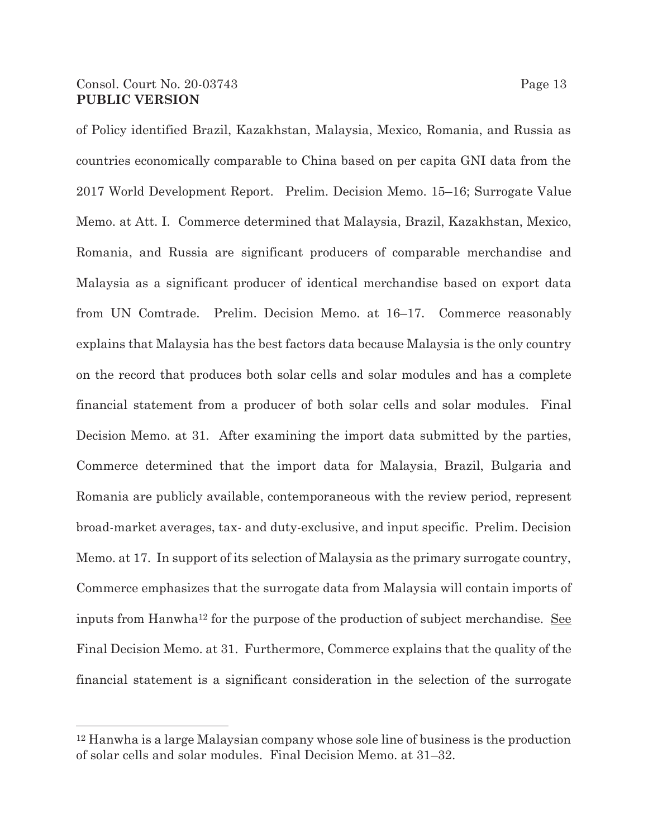## Consol. Court No. 20-03743 Page 13 **PUBLIC VERSION**

of Policy identified Brazil, Kazakhstan, Malaysia, Mexico, Romania, and Russia as countries economically comparable to China based on per capita GNI data from the 2017 World Development Report. Prelim. Decision Memo. 15–16; Surrogate Value Memo. at Att. I. Commerce determined that Malaysia, Brazil, Kazakhstan, Mexico, Romania, and Russia are significant producers of comparable merchandise and Malaysia as a significant producer of identical merchandise based on export data from UN Comtrade. Prelim. Decision Memo. at 16–17. Commerce reasonably explains that Malaysia has the best factors data because Malaysia is the only country on the record that produces both solar cells and solar modules and has a complete financial statement from a producer of both solar cells and solar modules. Final Decision Memo. at 31. After examining the import data submitted by the parties, Commerce determined that the import data for Malaysia, Brazil, Bulgaria and Romania are publicly available, contemporaneous with the review period, represent broad-market averages, tax- and duty-exclusive, and input specific. Prelim. Decision Memo. at 17. In support of its selection of Malaysia as the primary surrogate country, Commerce emphasizes that the surrogate data from Malaysia will contain imports of inputs from Hanwha<sup>12</sup> for the purpose of the production of subject merchandise. See Final Decision Memo. at 31. Furthermore, Commerce explains that the quality of the financial statement is a significant consideration in the selection of the surrogate

<sup>12</sup> Hanwha is a large Malaysian company whose sole line of business is the production of solar cells and solar modules. Final Decision Memo. at 31–32.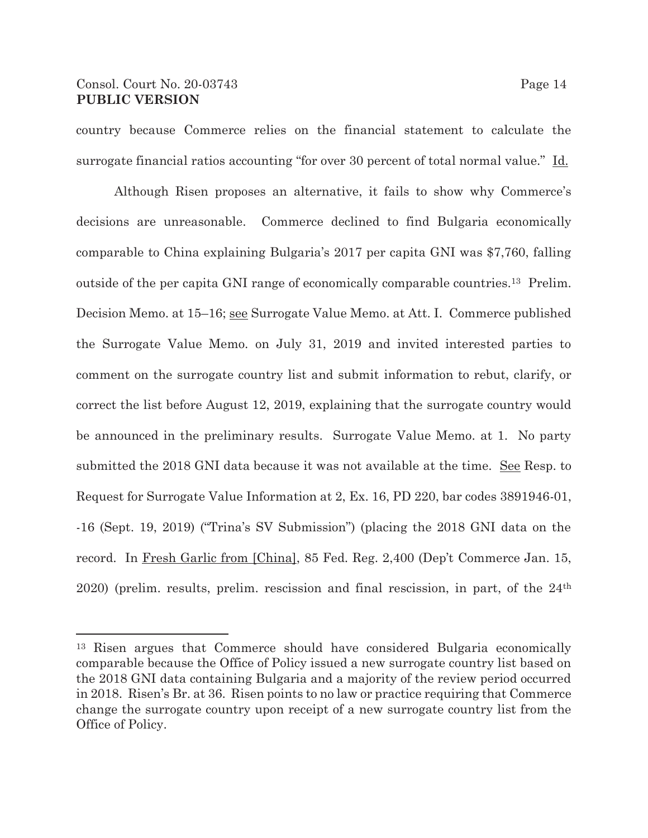## Consol. Court No. 20-03743 Page 14 **PUBLIC VERSION**

country because Commerce relies on the financial statement to calculate the surrogate financial ratios accounting "for over 30 percent of total normal value." Id.

Although Risen proposes an alternative, it fails to show why Commerce's decisions are unreasonable. Commerce declined to find Bulgaria economically comparable to China explaining Bulgaria's 2017 per capita GNI was \$7,760, falling outside of the per capita GNI range of economically comparable countries.13 Prelim. Decision Memo. at 15–16; see Surrogate Value Memo. at Att. I. Commerce published the Surrogate Value Memo. on July 31, 2019 and invited interested parties to comment on the surrogate country list and submit information to rebut, clarify, or correct the list before August 12, 2019, explaining that the surrogate country would be announced in the preliminary results. Surrogate Value Memo. at 1. No party submitted the 2018 GNI data because it was not available at the time. See Resp. to Request for Surrogate Value Information at 2, Ex. 16, PD 220, bar codes 3891946-01, -16 (Sept. 19, 2019) ("Trina's SV Submission") (placing the 2018 GNI data on the record. In Fresh Garlic from [China], 85 Fed. Reg. 2,400 (Dep't Commerce Jan. 15, 2020) (prelim. results, prelim. rescission and final rescission, in part, of the 24th

<sup>13</sup> Risen argues that Commerce should have considered Bulgaria economically comparable because the Office of Policy issued a new surrogate country list based on the 2018 GNI data containing Bulgaria and a majority of the review period occurred in 2018. Risen's Br. at 36. Risen points to no law or practice requiring that Commerce change the surrogate country upon receipt of a new surrogate country list from the Office of Policy.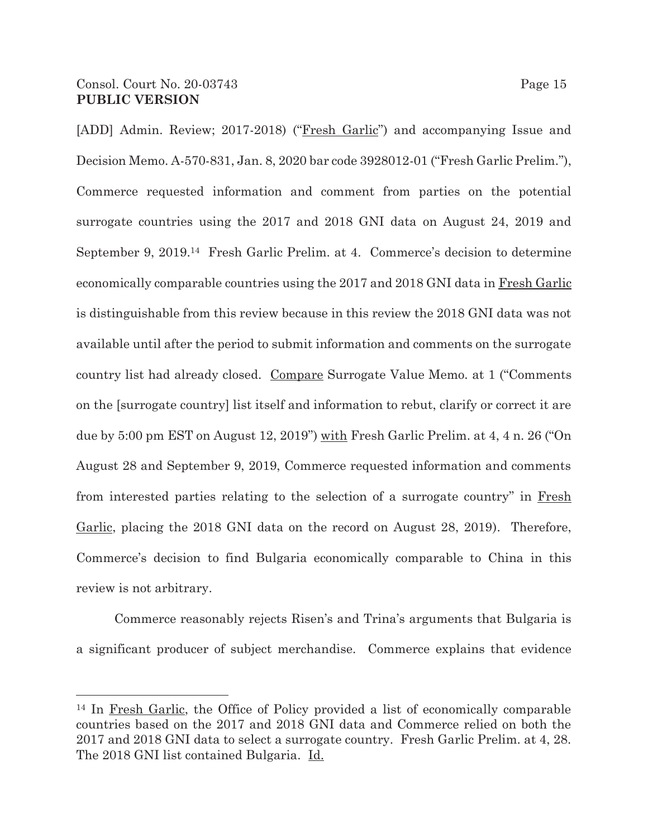[ADD] Admin. Review; 2017-2018) ("Fresh Garlic") and accompanying Issue and Decision Memo. A-570-831, Jan. 8, 2020 bar code 3928012-01 ("Fresh Garlic Prelim."), Commerce requested information and comment from parties on the potential surrogate countries using the 2017 and 2018 GNI data on August 24, 2019 and September 9, 2019.14 Fresh Garlic Prelim. at 4. Commerce's decision to determine economically comparable countries using the 2017 and 2018 GNI data in Fresh Garlic is distinguishable from this review because in this review the 2018 GNI data was not available until after the period to submit information and comments on the surrogate country list had already closed. Compare Surrogate Value Memo. at 1 ("Comments on the [surrogate country] list itself and information to rebut, clarify or correct it are due by 5:00 pm EST on August 12, 2019") with Fresh Garlic Prelim. at 4, 4 n. 26 ("On August 28 and September 9, 2019, Commerce requested information and comments from interested parties relating to the selection of a surrogate country" in Fresh Garlic, placing the 2018 GNI data on the record on August 28, 2019). Therefore, Commerce's decision to find Bulgaria economically comparable to China in this review is not arbitrary.

Commerce reasonably rejects Risen's and Trina's arguments that Bulgaria is a significant producer of subject merchandise. Commerce explains that evidence

<sup>&</sup>lt;sup>14</sup> In Fresh Garlic, the Office of Policy provided a list of economically comparable countries based on the 2017 and 2018 GNI data and Commerce relied on both the 2017 and 2018 GNI data to select a surrogate country. Fresh Garlic Prelim. at 4, 28. The 2018 GNI list contained Bulgaria. Id.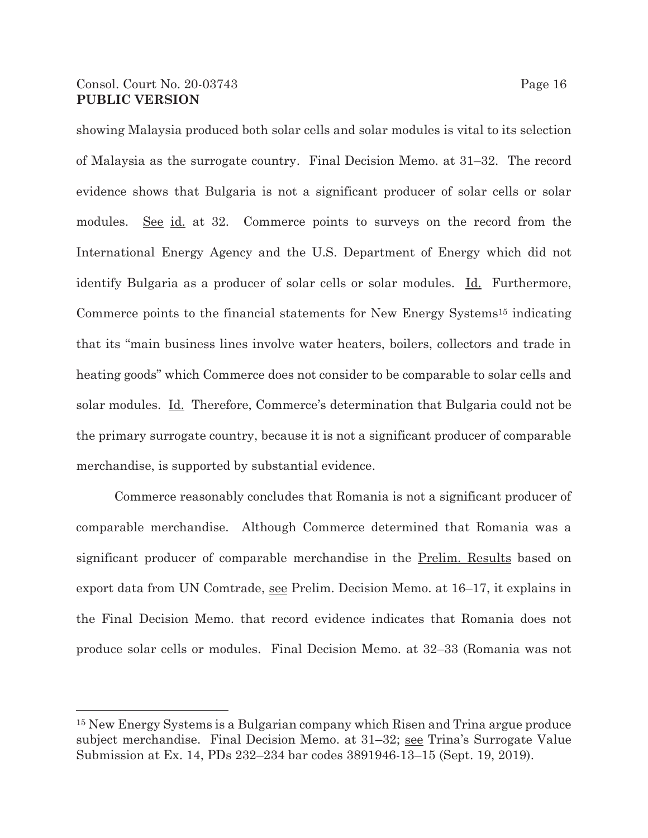## Consol. Court No. 20-03743 Page 16 **PUBLIC VERSION**

showing Malaysia produced both solar cells and solar modules is vital to its selection of Malaysia as the surrogate country. Final Decision Memo. at 31–32. The record evidence shows that Bulgaria is not a significant producer of solar cells or solar

modules. <u>See id.</u> at 32. Commerce points to surveys on the record from the International Energy Agency and the U.S. Department of Energy which did not identify Bulgaria as a producer of solar cells or solar modules. Id. Furthermore, Commerce points to the financial statements for New Energy Systems<sup>15</sup> indicating that its "main business lines involve water heaters, boilers, collectors and trade in heating goods" which Commerce does not consider to be comparable to solar cells and solar modules. Id. Therefore, Commerce's determination that Bulgaria could not be the primary surrogate country, because it is not a significant producer of comparable merchandise, is supported by substantial evidence.

Commerce reasonably concludes that Romania is not a significant producer of comparable merchandise. Although Commerce determined that Romania was a significant producer of comparable merchandise in the Prelim. Results based on export data from UN Comtrade, see Prelim. Decision Memo. at 16–17, it explains in the Final Decision Memo. that record evidence indicates that Romania does not produce solar cells or modules. Final Decision Memo. at 32–33 (Romania was not

<sup>15</sup> New Energy Systems is a Bulgarian company which Risen and Trina argue produce subject merchandise. Final Decision Memo. at 31–32; see Trina's Surrogate Value Submission at Ex. 14, PDs 232–234 bar codes 3891946-13–15 (Sept. 19, 2019).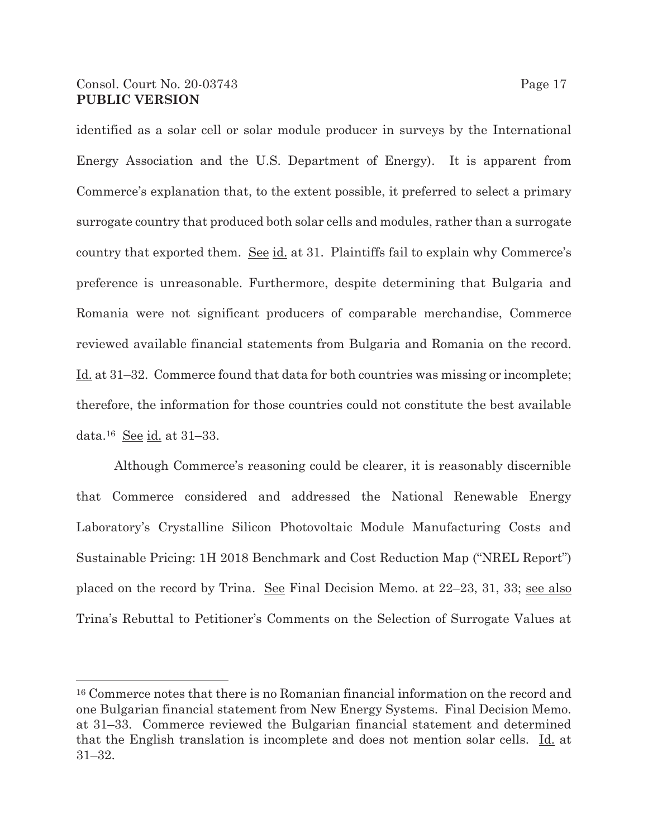### Consol. Court No. 20-03743 Page 17 **PUBLIC VERSION**

identified as a solar cell or solar module producer in surveys by the International Energy Association and the U.S. Department of Energy). It is apparent from Commerce's explanation that, to the extent possible, it preferred to select a primary surrogate country that produced both solar cells and modules, rather than a surrogate country that exported them. See id. at 31. Plaintiffs fail to explain why Commerce's preference is unreasonable. Furthermore, despite determining that Bulgaria and Romania were not significant producers of comparable merchandise, Commerce reviewed available financial statements from Bulgaria and Romania on the record. Id. at 31–32. Commerce found that data for both countries was missing or incomplete; therefore, the information for those countries could not constitute the best available

data.16 See id. at 31–33.

 Although Commerce's reasoning could be clearer, it is reasonably discernible that Commerce considered and addressed the National Renewable Energy Laboratory's Crystalline Silicon Photovoltaic Module Manufacturing Costs and Sustainable Pricing: 1H 2018 Benchmark and Cost Reduction Map ("NREL Report") placed on the record by Trina. See Final Decision Memo. at 22–23, 31, 33; see also Trina's Rebuttal to Petitioner's Comments on the Selection of Surrogate Values at

<sup>16</sup> Commerce notes that there is no Romanian financial information on the record and one Bulgarian financial statement from New Energy Systems. Final Decision Memo. at 31–33. Commerce reviewed the Bulgarian financial statement and determined that the English translation is incomplete and does not mention solar cells. Id. at 31–32.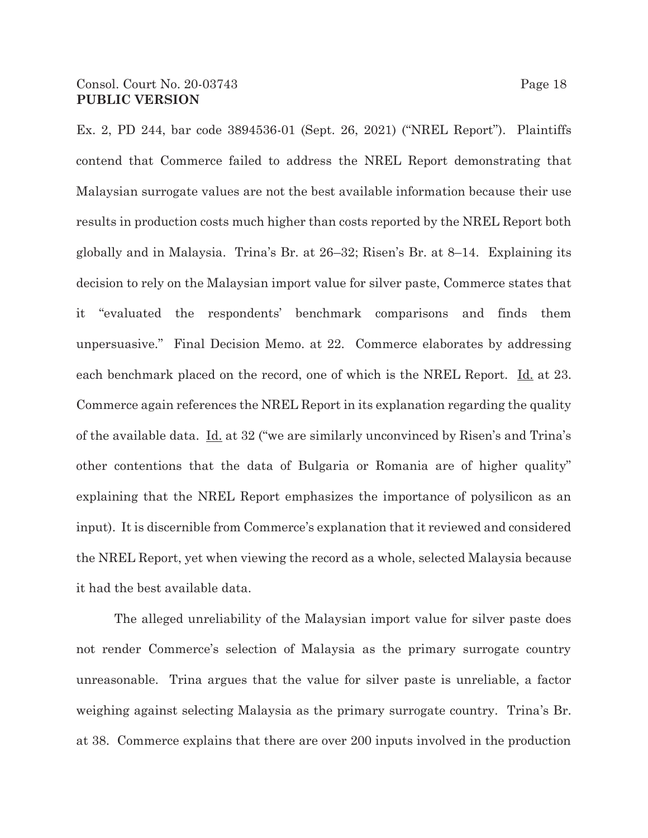Ex. 2, PD 244, bar code 3894536-01 (Sept. 26, 2021) ("NREL Report"). Plaintiffs contend that Commerce failed to address the NREL Report demonstrating that Malaysian surrogate values are not the best available information because their use results in production costs much higher than costs reported by the NREL Report both globally and in Malaysia. Trina's Br. at 26–32; Risen's Br. at 8–14. Explaining its decision to rely on the Malaysian import value for silver paste, Commerce states that it "evaluated the respondents' benchmark comparisons and finds them unpersuasive." Final Decision Memo. at 22. Commerce elaborates by addressing each benchmark placed on the record, one of which is the NREL Report. Id. at 23. Commerce again references the NREL Report in its explanation regarding the quality of the available data. Id. at 32 ("we are similarly unconvinced by Risen's and Trina's other contentions that the data of Bulgaria or Romania are of higher quality" explaining that the NREL Report emphasizes the importance of polysilicon as an input). It is discernible from Commerce's explanation that it reviewed and considered the NREL Report, yet when viewing the record as a whole, selected Malaysia because it had the best available data.

 The alleged unreliability of the Malaysian import value for silver paste does not render Commerce's selection of Malaysia as the primary surrogate country unreasonable. Trina argues that the value for silver paste is unreliable, a factor weighing against selecting Malaysia as the primary surrogate country. Trina's Br. at 38. Commerce explains that there are over 200 inputs involved in the production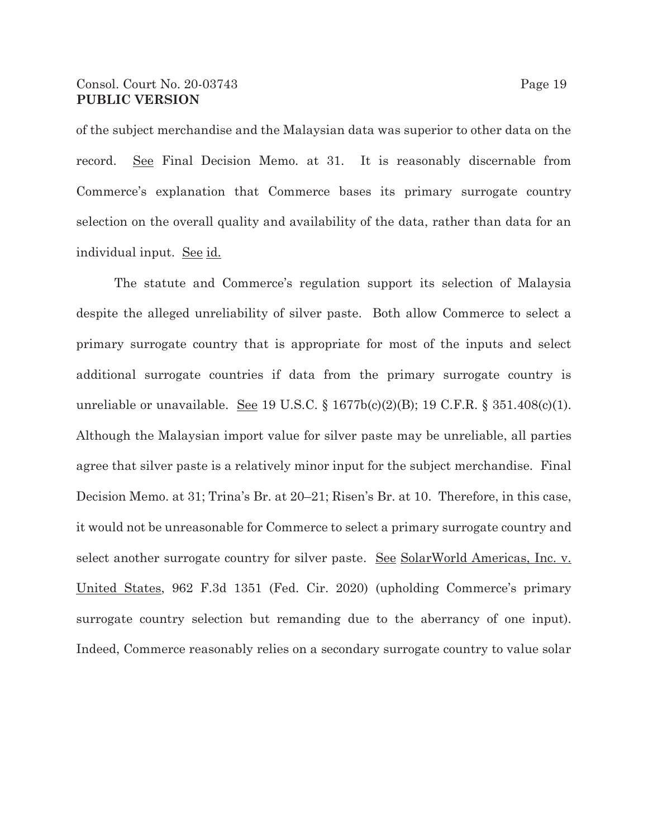### Consol. Court No. 20-03743 Page 19 **PUBLIC VERSION**

of the subject merchandise and the Malaysian data was superior to other data on the record. See Final Decision Memo. at 31. It is reasonably discernable from Commerce's explanation that Commerce bases its primary surrogate country selection on the overall quality and availability of the data, rather than data for an individual input. See id.

The statute and Commerce's regulation support its selection of Malaysia despite the alleged unreliability of silver paste. Both allow Commerce to select a primary surrogate country that is appropriate for most of the inputs and select additional surrogate countries if data from the primary surrogate country is unreliable or unavailable. <u>See</u> 19 U.S.C. § 1677b(c)(2)(B); 19 C.F.R. § 351.408(c)(1). Although the Malaysian import value for silver paste may be unreliable, all parties agree that silver paste is a relatively minor input for the subject merchandise. Final Decision Memo. at 31; Trina's Br. at 20–21; Risen's Br. at 10. Therefore, in this case, it would not be unreasonable for Commerce to select a primary surrogate country and select another surrogate country for silver paste. See SolarWorld Americas, Inc. v. United States, 962 F.3d 1351 (Fed. Cir. 2020) (upholding Commerce's primary surrogate country selection but remanding due to the aberrancy of one input). Indeed, Commerce reasonably relies on a secondary surrogate country to value solar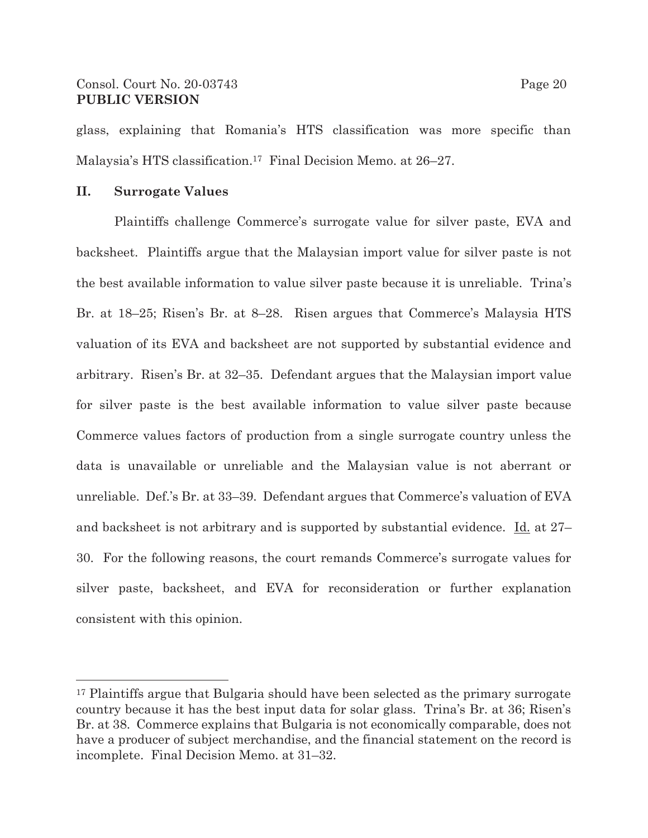## Consol. Court No. 20-03743 Page 20 **PUBLIC VERSION**

glass, explaining that Romania's HTS classification was more specific than Malaysia's HTS classification.17 Final Decision Memo. at 26–27.

## **II. Surrogate Values**

Plaintiffs challenge Commerce's surrogate value for silver paste, EVA and backsheet. Plaintiffs argue that the Malaysian import value for silver paste is not the best available information to value silver paste because it is unreliable. Trina's Br. at 18–25; Risen's Br. at 8–28. Risen argues that Commerce's Malaysia HTS valuation of its EVA and backsheet are not supported by substantial evidence and arbitrary. Risen's Br. at 32–35. Defendant argues that the Malaysian import value for silver paste is the best available information to value silver paste because Commerce values factors of production from a single surrogate country unless the data is unavailable or unreliable and the Malaysian value is not aberrant or unreliable. Def.'s Br. at 33–39. Defendant argues that Commerce's valuation of EVA and backsheet is not arbitrary and is supported by substantial evidence. Id. at 27– 30. For the following reasons, the court remands Commerce's surrogate values for silver paste, backsheet, and EVA for reconsideration or further explanation consistent with this opinion.

<sup>17</sup> Plaintiffs argue that Bulgaria should have been selected as the primary surrogate country because it has the best input data for solar glass. Trina's Br. at 36; Risen's Br. at 38. Commerce explains that Bulgaria is not economically comparable, does not have a producer of subject merchandise, and the financial statement on the record is incomplete. Final Decision Memo. at 31–32.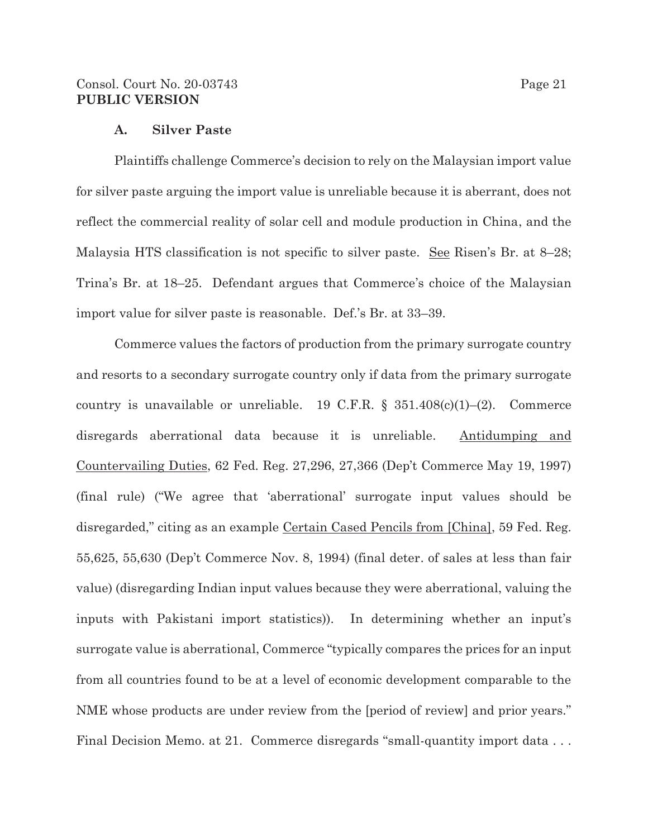### Consol. Court No. 20-03743 Page 21 **PUBLIC VERSION**

### **A. Silver Paste**

Plaintiffs challenge Commerce's decision to rely on the Malaysian import value for silver paste arguing the import value is unreliable because it is aberrant, does not reflect the commercial reality of solar cell and module production in China, and the Malaysia HTS classification is not specific to silver paste. See Risen's Br. at 8–28; Trina's Br. at 18–25. Defendant argues that Commerce's choice of the Malaysian import value for silver paste is reasonable. Def.'s Br. at 33–39.

Commerce values the factors of production from the primary surrogate country and resorts to a secondary surrogate country only if data from the primary surrogate country is unavailable or unreliable. 19 C.F.R.  $\S$  351.408(c)(1)–(2). Commerce disregards aberrational data because it is unreliable. Antidumping and Countervailing Duties, 62 Fed. Reg. 27,296, 27,366 (Dep't Commerce May 19, 1997) (final rule) ("We agree that 'aberrational' surrogate input values should be disregarded," citing as an example <u>Certain Cased Pencils from [China]</u>, 59 Fed. Reg. 55,625, 55,630 (Dep't Commerce Nov. 8, 1994) (final deter. of sales at less than fair value) (disregarding Indian input values because they were aberrational, valuing the inputs with Pakistani import statistics)). In determining whether an input's surrogate value is aberrational, Commerce "typically compares the prices for an input from all countries found to be at a level of economic development comparable to the NME whose products are under review from the [period of review] and prior years." Final Decision Memo. at 21. Commerce disregards "small-quantity import data ...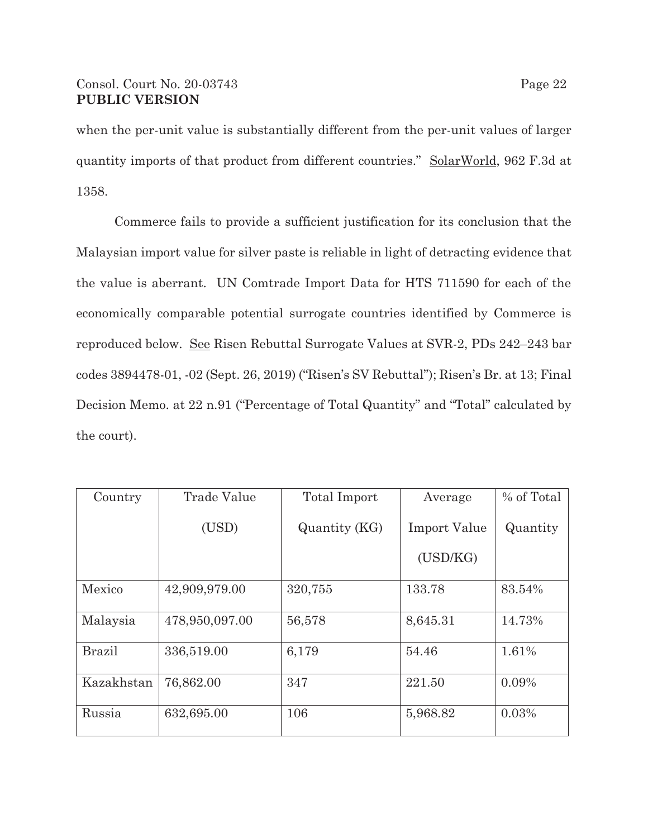# Consol. Court No. 20-03743 Page 22 **PUBLIC VERSION**

when the per-unit value is substantially different from the per-unit values of larger quantity imports of that product from different countries." SolarWorld, 962 F.3d at 1358.

Commerce fails to provide a sufficient justification for its conclusion that the Malaysian import value for silver paste is reliable in light of detracting evidence that the value is aberrant. UN Comtrade Import Data for HTS 711590 for each of the economically comparable potential surrogate countries identified by Commerce is reproduced below. See Risen Rebuttal Surrogate Values at SVR-2, PDs 242–243 bar codes 3894478-01, -02 (Sept. 26, 2019) ("Risen's SV Rebuttal"); Risen's Br. at 13; Final Decision Memo. at 22 n.91 ("Percentage of Total Quantity" and "Total" calculated by the court).

| Country       | Trade Value    | Total Import  | Average             | % of Total |
|---------------|----------------|---------------|---------------------|------------|
|               | (USD)          | Quantity (KG) | <b>Import Value</b> | Quantity   |
|               |                |               | (USD/KG)            |            |
| Mexico        | 42,909,979.00  | 320,755       | 133.78              | 83.54%     |
| Malaysia      | 478,950,097.00 | 56,578        | 8,645.31            | 14.73%     |
| <b>Brazil</b> | 336,519.00     | 6,179         | 54.46               | 1.61%      |
| Kazakhstan    | 76,862.00      | 347           | 221.50              | 0.09%      |
| Russia        | 632,695.00     | 106           | 5,968.82            | 0.03%      |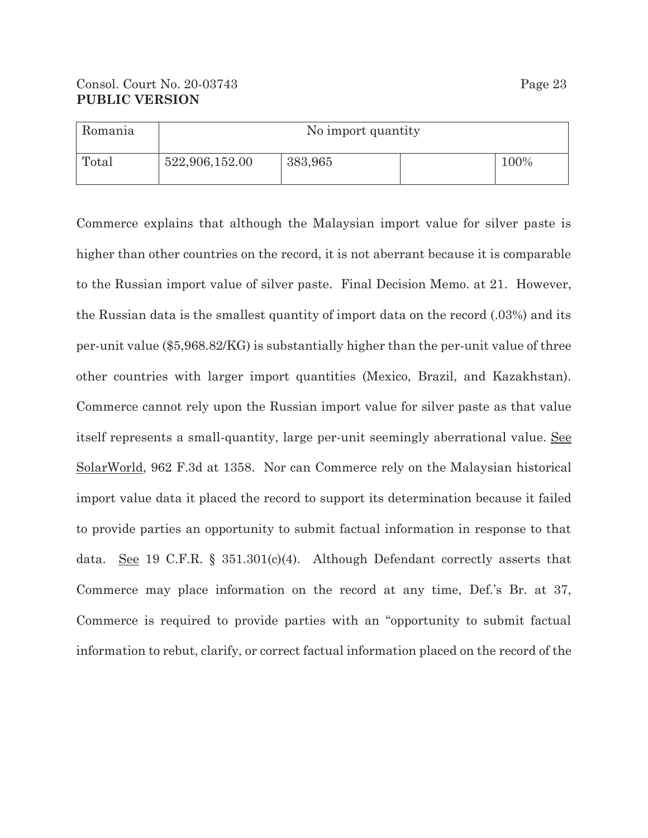| Romania | No import quantity |         |  |      |
|---------|--------------------|---------|--|------|
| Total   | 522,906,152.00     | 383,965 |  | 100% |

Commerce explains that although the Malaysian import value for silver paste is higher than other countries on the record, it is not aberrant because it is comparable to the Russian import value of silver paste. Final Decision Memo. at 21. However, the Russian data is the smallest quantity of import data on the record (.03%) and its per-unit value (\$5,968.82/KG) is substantially higher than the per-unit value of three other countries with larger import quantities (Mexico, Brazil, and Kazakhstan). Commerce cannot rely upon the Russian import value for silver paste as that value itself represents a small-quantity, large per-unit seemingly aberrational value. See SolarWorld, 962 F.3d at 1358. Nor can Commerce rely on the Malaysian historical import value data it placed the record to support its determination because it failed to provide parties an opportunity to submit factual information in response to that data. See 19 C.F.R. § 351.301(c)(4). Although Defendant correctly asserts that Commerce may place information on the record at any time, Def.'s Br. at 37, Commerce is required to provide parties with an "opportunity to submit factual information to rebut, clarify, or correct factual information placed on the record of the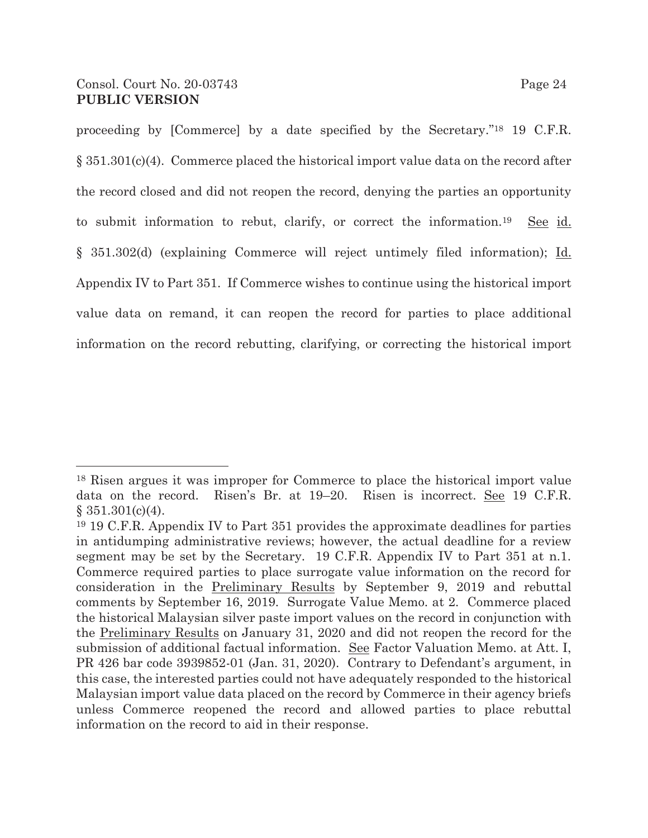proceeding by [Commerce] by a date specified by the Secretary."18 19 C.F.R. § 351.301(c)(4). Commerce placed the historical import value data on the record after the record closed and did not reopen the record, denying the parties an opportunity to submit information to rebut, clarify, or correct the information.<sup>19</sup> See id. § 351.302(d) (explaining Commerce will reject untimely filed information); Id. Appendix IV to Part 351. If Commerce wishes to continue using the historical import value data on remand, it can reopen the record for parties to place additional information on the record rebutting, clarifying, or correcting the historical import

<sup>18</sup> Risen argues it was improper for Commerce to place the historical import value data on the record. Risen's Br. at 19–20. Risen is incorrect. See 19 C.F.R.  $§ 351.301(c)(4).$ 

<sup>19 19</sup> C.F.R. Appendix IV to Part 351 provides the approximate deadlines for parties in antidumping administrative reviews; however, the actual deadline for a review segment may be set by the Secretary. 19 C.F.R. Appendix IV to Part 351 at n.1. Commerce required parties to place surrogate value information on the record for consideration in the Preliminary Results by September 9, 2019 and rebuttal comments by September 16, 2019. Surrogate Value Memo. at 2. Commerce placed the historical Malaysian silver paste import values on the record in conjunction with the Preliminary Results on January 31, 2020 and did not reopen the record for the submission of additional factual information. See Factor Valuation Memo. at Att. I, PR 426 bar code 3939852-01 (Jan. 31, 2020). Contrary to Defendant's argument, in this case, the interested parties could not have adequately responded to the historical Malaysian import value data placed on the record by Commerce in their agency briefs unless Commerce reopened the record and allowed parties to place rebuttal information on the record to aid in their response.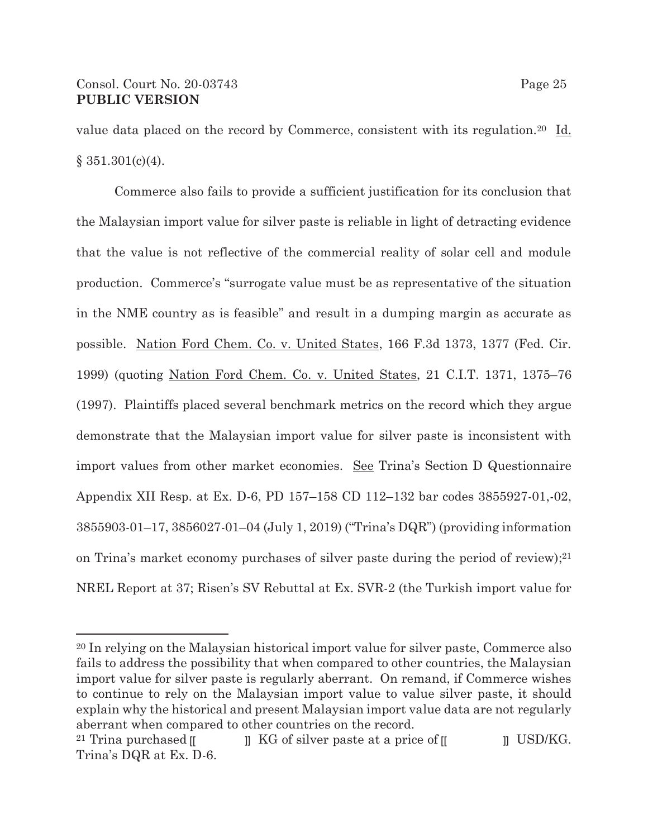value data placed on the record by Commerce, consistent with its regulation.20 Id.  $§ 351.301(c)(4).$ 

Commerce also fails to provide a sufficient justification for its conclusion that the Malaysian import value for silver paste is reliable in light of detracting evidence that the value is not reflective of the commercial reality of solar cell and module production. Commerce's "surrogate value must be as representative of the situation in the NME country as is feasible" and result in a dumping margin as accurate as possible. Nation Ford Chem. Co. v. United States, 166 F.3d 1373, 1377 (Fed. Cir. 1999) (quoting Nation Ford Chem. Co. v. United States, 21 C.I.T. 1371, 1375–76 (1997). Plaintiffs placed several benchmark metrics on the record which they argue demonstrate that the Malaysian import value for silver paste is inconsistent with import values from other market economies. See Trina's Section D Questionnaire Appendix XII Resp. at Ex. D-6, PD 157–158 CD 112–132 bar codes 3855927-01,-02, 3855903-01–17, 3856027-01–04 (July 1, 2019) ("Trina's DQR") (providing information on Trina's market economy purchases of silver paste during the period of review);21 NREL Report at 37; Risen's SV Rebuttal at Ex. SVR-2 (the Turkish import value for

<sup>20</sup> In relying on the Malaysian historical import value for silver paste, Commerce also fails to address the possibility that when compared to other countries, the Malaysian import value for silver paste is regularly aberrant. On remand, if Commerce wishes to continue to rely on the Malaysian import value to value silver paste, it should explain why the historical and present Malaysian import value data are not regularly aberrant when compared to other countries on the record.

<sup>&</sup>lt;sup>21</sup> Trina purchased  $\llbracket$   $\rrbracket$  KG of silver paste at a price of  $\llbracket$   $\rrbracket$  USD/KG. Trina's DQR at Ex. D-6.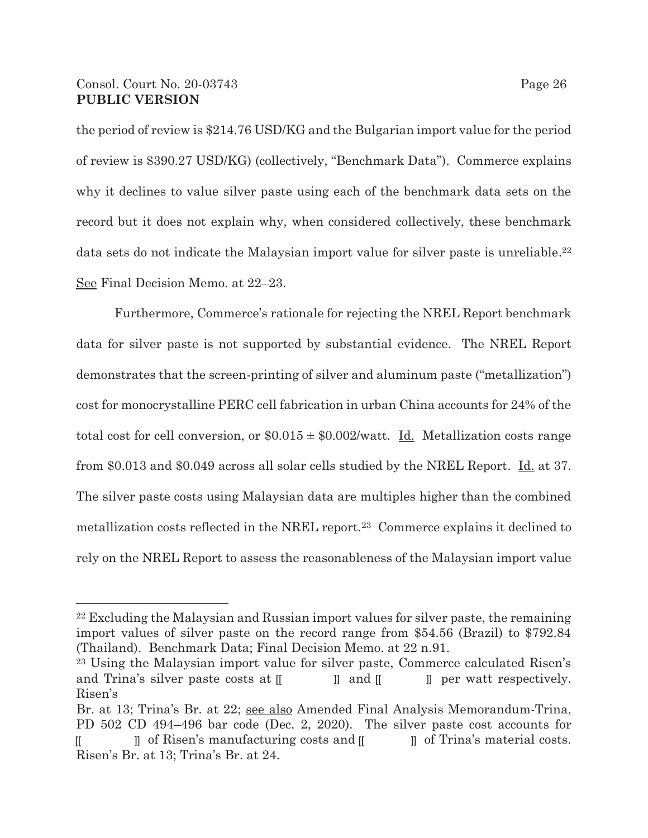## Consol. Court No. 20-03743 Page 26 **PUBLIC VERSION**

the period of review is \$214.76 USD/KG and the Bulgarian import value for the period of review is \$390.27 USD/KG) (collectively, "Benchmark Data"). Commerce explains why it declines to value silver paste using each of the benchmark data sets on the record but it does not explain why, when considered collectively, these benchmark data sets do not indicate the Malaysian import value for silver paste is unreliable.<sup>22</sup> See Final Decision Memo. at 22–23.

Furthermore, Commerce's rationale for rejecting the NREL Report benchmark data for silver paste is not supported by substantial evidence. The NREL Report demonstrates that the screen-printing of silver and aluminum paste ("metallization") cost for monocrystalline PERC cell fabrication in urban China accounts for 24% of the total cost for cell conversion, or  $$0.015 \pm $0.002$  watt. Id. Metallization costs range from \$0.013 and \$0.049 across all solar cells studied by the NREL Report. Id. at 37. The silver paste costs using Malaysian data are multiples higher than the combined metallization costs reflected in the NREL report.23 Commerce explains it declined to rely on the NREL Report to assess the reasonableness of the Malaysian import value

<sup>22</sup> Excluding the Malaysian and Russian import values for silver paste, the remaining import values of silver paste on the record range from \$54.56 (Brazil) to \$792.84 (Thailand). Benchmark Data; Final Decision Memo. at 22 n.91.

<sup>23</sup> Using the Malaysian import value for silver paste, Commerce calculated Risen's and Trina's silver paste costs at  $\llbracket$   $\rrbracket$  and  $\llbracket$   $\rrbracket$  per watt respectively. Risen's  $\lbrack$   $\lbrack$  and  $\lbrack$ 

Br. at 13; Trina's Br. at 22; see also Amended Final Analysis Memorandum-Trina, PD 502 CD 494–496 bar code (Dec. 2, 2020). The silver paste cost accounts for

<sup>[</sup>  $\Box$  ]] of Risen's manufacturing costs and  $\Box$   $\Box$  of Trina's material costs. Risen's Br. at 13; Trina's Br. at 24.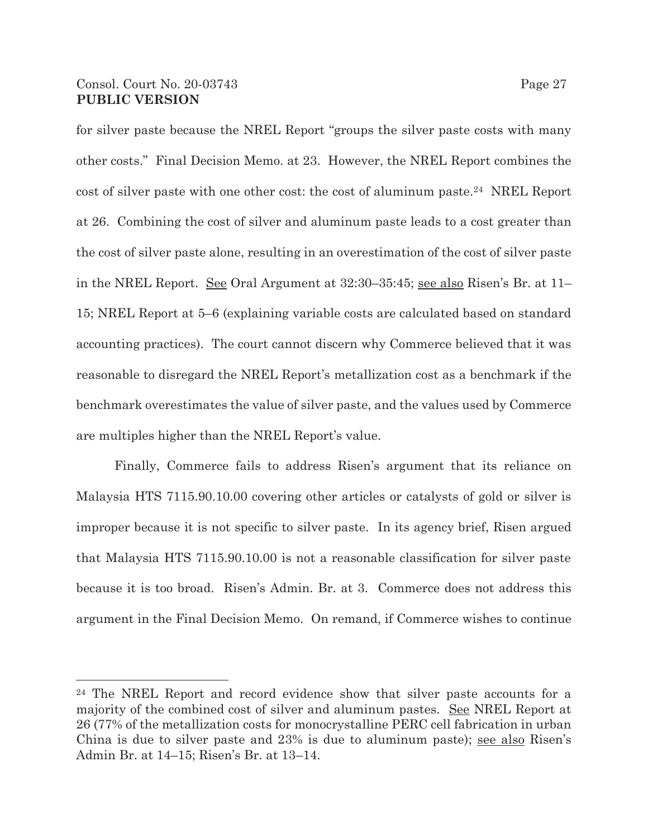for silver paste because the NREL Report "groups the silver paste costs with many other costs." Final Decision Memo. at 23. However, the NREL Report combines the cost of silver paste with one other cost: the cost of aluminum paste.24 NREL Report at 26. Combining the cost of silver and aluminum paste leads to a cost greater than the cost of silver paste alone, resulting in an overestimation of the cost of silver paste in the NREL Report. See Oral Argument at 32:30–35:45; see also Risen's Br. at 11– 15; NREL Report at 5–6 (explaining variable costs are calculated based on standard accounting practices). The court cannot discern why Commerce believed that it was reasonable to disregard the NREL Report's metallization cost as a benchmark if the benchmark overestimates the value of silver paste, and the values used by Commerce are multiples higher than the NREL Report's value.

Finally, Commerce fails to address Risen's argument that its reliance on Malaysia HTS 7115.90.10.00 covering other articles or catalysts of gold or silver is improper because it is not specific to silver paste. In its agency brief, Risen argued that Malaysia HTS 7115.90.10.00 is not a reasonable classification for silver paste because it is too broad. Risen's Admin. Br. at 3. Commerce does not address this argument in the Final Decision Memo. On remand, if Commerce wishes to continue

<sup>24</sup> The NREL Report and record evidence show that silver paste accounts for a majority of the combined cost of silver and aluminum pastes. See NREL Report at 26 (77% of the metallization costs for monocrystalline PERC cell fabrication in urban China is due to silver paste and 23% is due to aluminum paste); see also Risen's Admin Br. at 14–15; Risen's Br. at 13–14.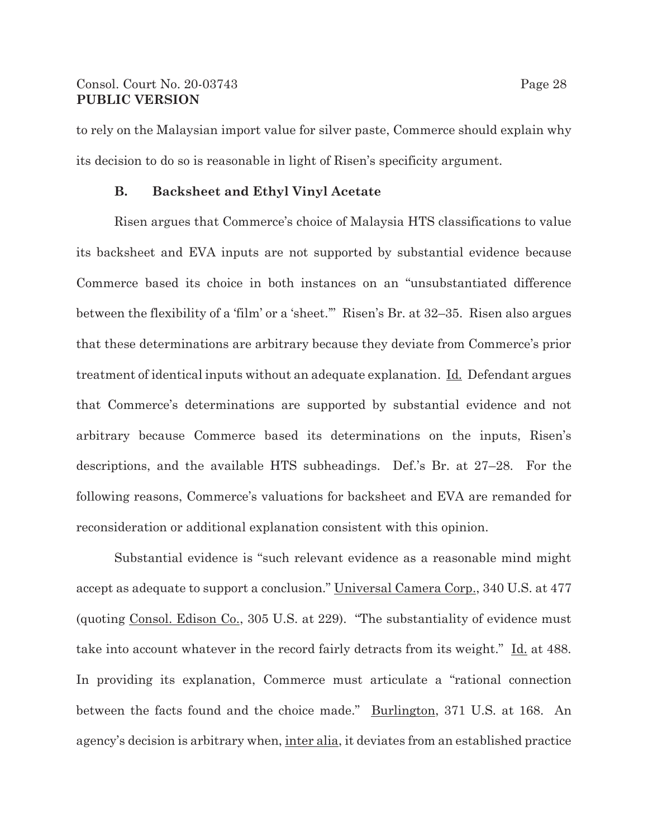### Consol. Court No. 20-03743 Page 28 **PUBLIC VERSION**

to rely on the Malaysian import value for silver paste, Commerce should explain why its decision to do so is reasonable in light of Risen's specificity argument.

### **B. Backsheet and Ethyl Vinyl Acetate**

Risen argues that Commerce's choice of Malaysia HTS classifications to value its backsheet and EVA inputs are not supported by substantial evidence because Commerce based its choice in both instances on an "unsubstantiated difference between the flexibility of a 'film' or a 'sheet.'" Risen's Br. at 32–35. Risen also argues that these determinations are arbitrary because they deviate from Commerce's prior treatment of identical inputs without an adequate explanation. Id. Defendant argues that Commerce's determinations are supported by substantial evidence and not arbitrary because Commerce based its determinations on the inputs, Risen's descriptions, and the available HTS subheadings. Def.'s Br. at 27–28. For the following reasons, Commerce's valuations for backsheet and EVA are remanded for reconsideration or additional explanation consistent with this opinion.

Substantial evidence is "such relevant evidence as a reasonable mind might accept as adequate to support a conclusion." Universal Camera Corp., 340 U.S. at 477 (quoting Consol. Edison Co., 305 U.S. at 229). "The substantiality of evidence must take into account whatever in the record fairly detracts from its weight." Id. at 488. In providing its explanation, Commerce must articulate a "rational connection between the facts found and the choice made." Burlington, 371 U.S. at 168. An agency's decision is arbitrary when, inter alia, it deviates from an established practice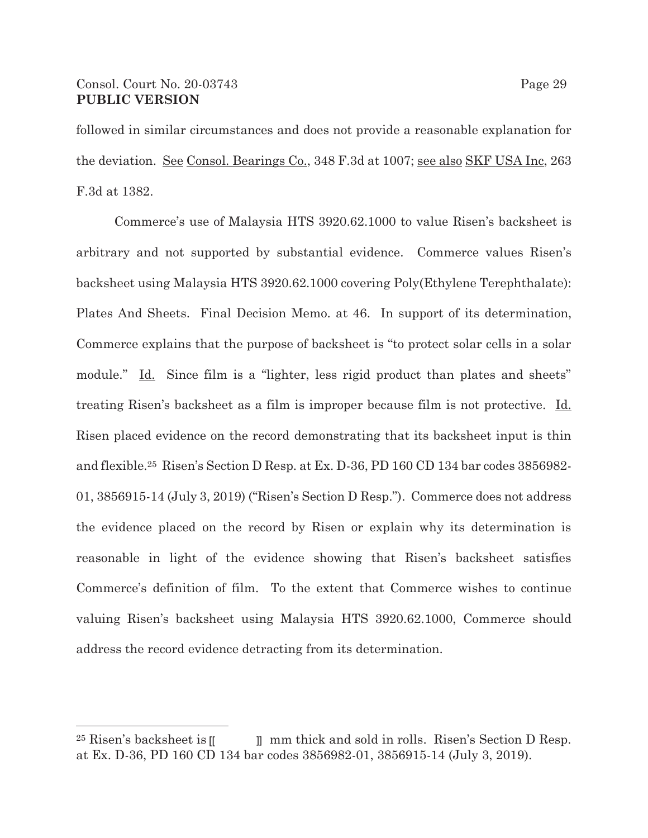# Consol. Court No. 20-03743 Page 29 **PUBLIC VERSION**

followed in similar circumstances and does not provide a reasonable explanation for the deviation. See Consol. Bearings Co., 348 F.3d at 1007; see also SKF USA Inc, 263 F.3d at 1382.

 Commerce's use of Malaysia HTS 3920.62.1000 to value Risen's backsheet is arbitrary and not supported by substantial evidence. Commerce values Risen's backsheet using Malaysia HTS 3920.62.1000 covering Poly(Ethylene Terephthalate): Plates And Sheets. Final Decision Memo. at 46. In support of its determination, Commerce explains that the purpose of backsheet is "to protect solar cells in a solar module." Id. Since film is a "lighter, less rigid product than plates and sheets" treating Risen's backsheet as a film is improper because film is not protective. Id. Risen placed evidence on the record demonstrating that its backsheet input is thin and flexible.25 Risen's Section D Resp. at Ex. D-36, PD 160 CD 134 bar codes 3856982- 01, 3856915-14 (July 3, 2019) ("Risen's Section D Resp."). Commerce does not address the evidence placed on the record by Risen or explain why its determination is reasonable in light of the evidence showing that Risen's backsheet satisfies Commerce's definition of film. To the extent that Commerce wishes to continue valuing Risen's backsheet using Malaysia HTS 3920.62.1000, Commerce should address the record evidence detracting from its determination.

<sup>25</sup> Risen's backsheet is mm thick and sold in rolls. Risen's Section D Resp. at Ex. D-36, PD 160 CD 134 bar codes 3856982-01, 3856915-14 (July 3, 2019).  $^{25}$  Risen's backsheet is  $\mathbb I$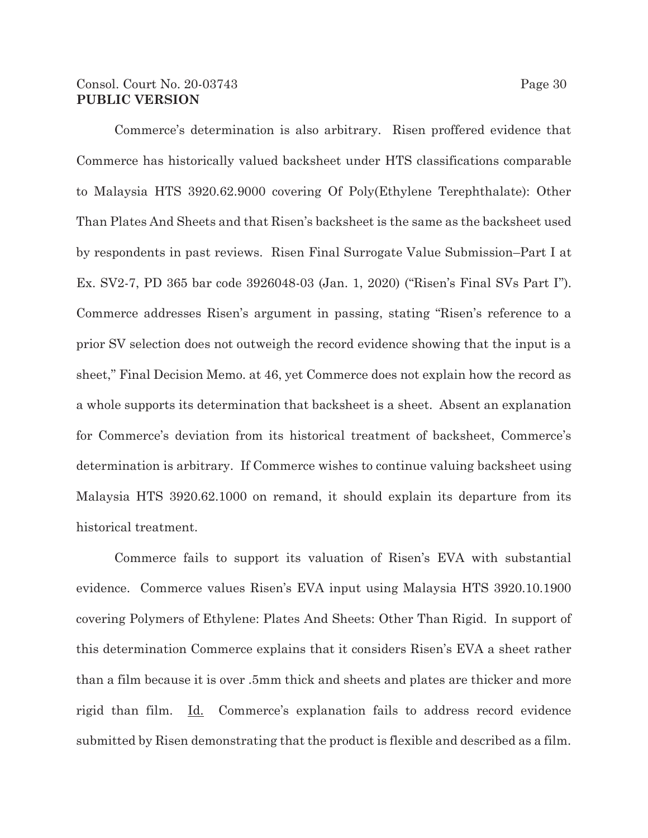### Consol. Court No. 20-03743 Page 30 **PUBLIC VERSION**

 Commerce's determination is also arbitrary. Risen proffered evidence that Commerce has historically valued backsheet under HTS classifications comparable to Malaysia HTS 3920.62.9000 covering Of Poly(Ethylene Terephthalate): Other Than Plates And Sheets and that Risen's backsheet is the same as the backsheet used by respondents in past reviews. Risen Final Surrogate Value Submission–Part I at Ex. SV2-7, PD 365 bar code 3926048-03 (Jan. 1, 2020) ("Risen's Final SVs Part I"). Commerce addresses Risen's argument in passing, stating "Risen's reference to a prior SV selection does not outweigh the record evidence showing that the input is a sheet," Final Decision Memo. at 46, yet Commerce does not explain how the record as a whole supports its determination that backsheet is a sheet. Absent an explanation for Commerce's deviation from its historical treatment of backsheet, Commerce's determination is arbitrary. If Commerce wishes to continue valuing backsheet using Malaysia HTS 3920.62.1000 on remand, it should explain its departure from its historical treatment.

 Commerce fails to support its valuation of Risen's EVA with substantial evidence. Commerce values Risen's EVA input using Malaysia HTS 3920.10.1900 covering Polymers of Ethylene: Plates And Sheets: Other Than Rigid. In support of this determination Commerce explains that it considers Risen's EVA a sheet rather than a film because it is over .5mm thick and sheets and plates are thicker and more rigid than film. Id. Commerce's explanation fails to address record evidence submitted by Risen demonstrating that the product is flexible and described as a film.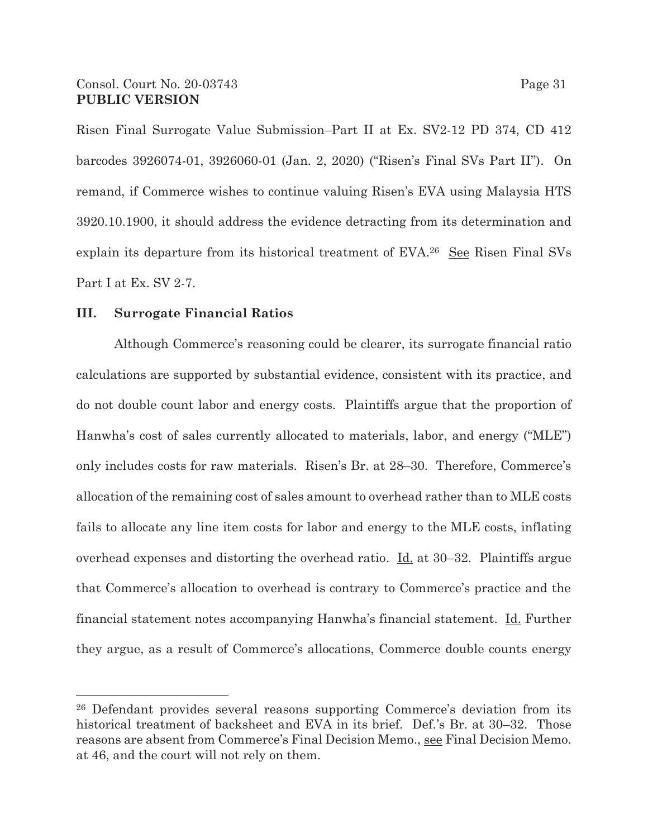Risen Final Surrogate Value Submission–Part II at Ex. SV2-12 PD 374, CD 412 barcodes 3926074-01, 3926060-01 (Jan. 2, 2020) ("Risen's Final SVs Part II"). On remand, if Commerce wishes to continue valuing Risen's EVA using Malaysia HTS 3920.10.1900, it should address the evidence detracting from its determination and explain its departure from its historical treatment of EVA.26 See Risen Final SVs Part I at Ex. SV 2-7.

### **III. Surrogate Financial Ratios**

Although Commerce's reasoning could be clearer, its surrogate financial ratio calculations are supported by substantial evidence, consistent with its practice, and do not double count labor and energy costs. Plaintiffs argue that the proportion of Hanwha's cost of sales currently allocated to materials, labor, and energy ("MLE") only includes costs for raw materials. Risen's Br. at 28–30. Therefore, Commerce's allocation of the remaining cost of sales amount to overhead rather than to MLE costs fails to allocate any line item costs for labor and energy to the MLE costs, inflating overhead expenses and distorting the overhead ratio. Id. at 30–32. Plaintiffs argue that Commerce's allocation to overhead is contrary to Commerce's practice and the financial statement notes accompanying Hanwha's financial statement. Id. Further they argue, as a result of Commerce's allocations, Commerce double counts energy

<sup>26</sup> Defendant provides several reasons supporting Commerce's deviation from its historical treatment of backsheet and EVA in its brief. Def.'s Br. at 30–32. Those reasons are absent from Commerce's Final Decision Memo., see Final Decision Memo. at 46, and the court will not rely on them.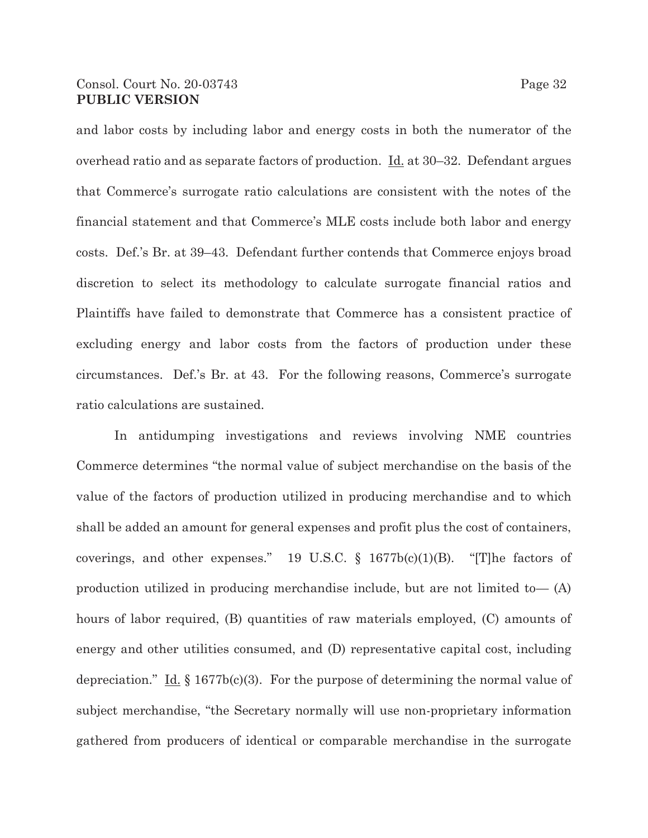## Consol. Court No. 20-03743 Page 32 **PUBLIC VERSION**

and labor costs by including labor and energy costs in both the numerator of the overhead ratio and as separate factors of production.  $\underline{Id}$ , at 30–32. Defendant argues that Commerce's surrogate ratio calculations are consistent with the notes of the financial statement and that Commerce's MLE costs include both labor and energy costs. Def.'s Br. at 39–43. Defendant further contends that Commerce enjoys broad discretion to select its methodology to calculate surrogate financial ratios and Plaintiffs have failed to demonstrate that Commerce has a consistent practice of excluding energy and labor costs from the factors of production under these circumstances. Def.'s Br. at 43. For the following reasons, Commerce's surrogate ratio calculations are sustained.

In antidumping investigations and reviews involving NME countries Commerce determines "the normal value of subject merchandise on the basis of the value of the factors of production utilized in producing merchandise and to which shall be added an amount for general expenses and profit plus the cost of containers, coverings, and other expenses." 19 U.S.C. § 1677b(c)(1)(B). "[T]he factors of production utilized in producing merchandise include, but are not limited to— (A) hours of labor required, (B) quantities of raw materials employed, (C) amounts of energy and other utilities consumed, and (D) representative capital cost, including depreciation." Id.  $\S 1677b(c)(3)$ . For the purpose of determining the normal value of subject merchandise, "the Secretary normally will use non-proprietary information gathered from producers of identical or comparable merchandise in the surrogate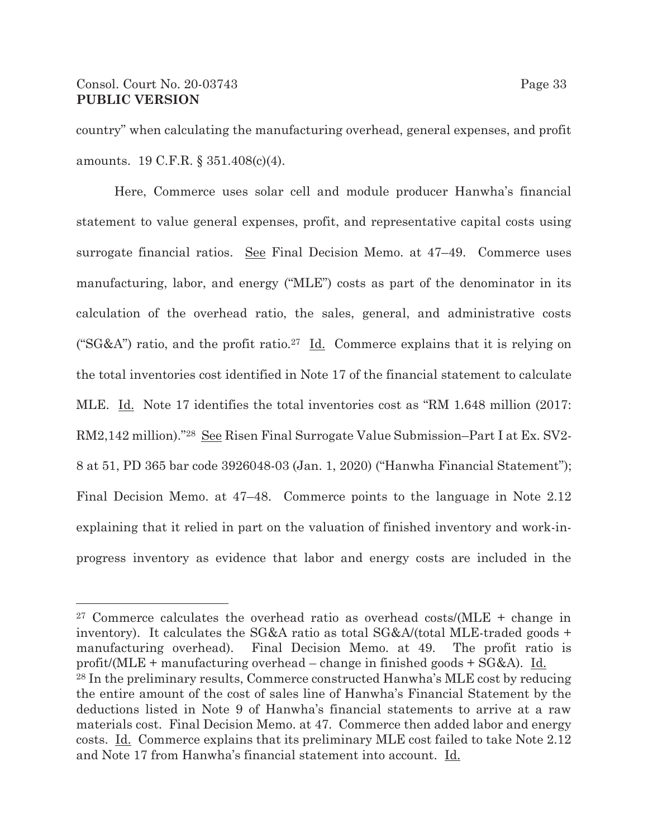## Consol. Court No. 20-03743 Page 33 **PUBLIC VERSION**

country" when calculating the manufacturing overhead, general expenses, and profit amounts. 19 C.F.R. § 351.408(c)(4).

Here, Commerce uses solar cell and module producer Hanwha's financial statement to value general expenses, profit, and representative capital costs using surrogate financial ratios. See Final Decision Memo. at 47–49. Commerce uses manufacturing, labor, and energy ("MLE") costs as part of the denominator in its calculation of the overhead ratio, the sales, general, and administrative costs ("SG&A") ratio, and the profit ratio.<sup>27</sup> Id. Commerce explains that it is relying on the total inventories cost identified in Note 17 of the financial statement to calculate MLE. Id. Note 17 identifies the total inventories cost as "RM 1.648 million (2017: RM2,142 million)."28 See Risen Final Surrogate Value Submission–Part I at Ex. SV2- 8 at 51, PD 365 bar code 3926048-03 (Jan. 1, 2020) ("Hanwha Financial Statement"); Final Decision Memo. at 47–48. Commerce points to the language in Note 2.12 explaining that it relied in part on the valuation of finished inventory and work-inprogress inventory as evidence that labor and energy costs are included in the

<sup>&</sup>lt;sup>27</sup> Commerce calculates the overhead ratio as overhead costs/(MLE  $+$  change in inventory). It calculates the SG&A ratio as total  $SG&A/(total MLE-traded goods +$ manufacturing overhead). Final Decision Memo. at 49. The profit ratio is profit/(MLE + manufacturing overhead – change in finished goods + SG&A). Id. 28 In the preliminary results, Commerce constructed Hanwha's MLE cost by reducing the entire amount of the cost of sales line of Hanwha's Financial Statement by the deductions listed in Note 9 of Hanwha's financial statements to arrive at a raw materials cost. Final Decision Memo. at 47. Commerce then added labor and energy costs. Id. Commerce explains that its preliminary MLE cost failed to take Note 2.12 and Note 17 from Hanwha's financial statement into account. Id.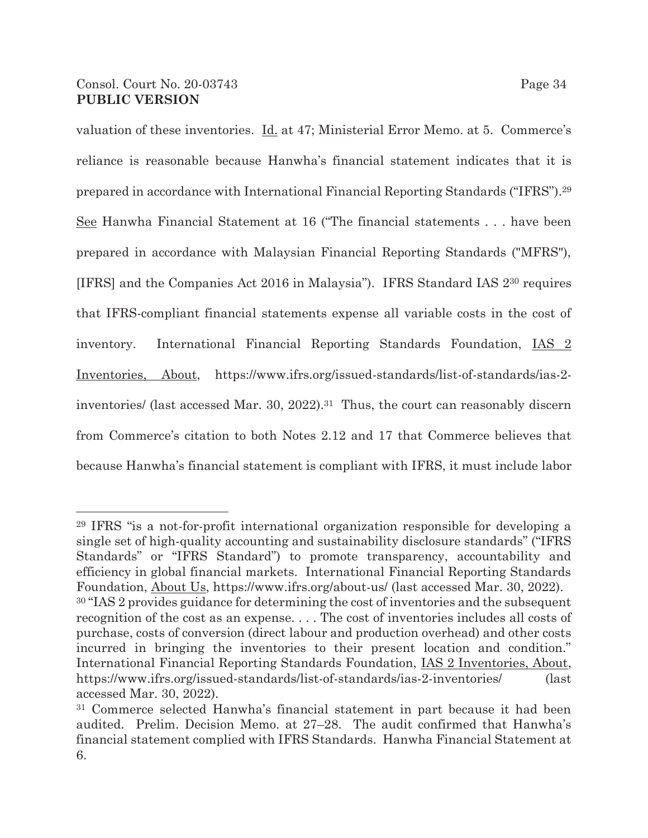valuation of these inventories. Id. at 47; Ministerial Error Memo. at 5. Commerce's reliance is reasonable because Hanwha's financial statement indicates that it is prepared in accordance with International Financial Reporting Standards ("IFRS").29 See Hanwha Financial Statement at 16 ("The financial statements . . . have been prepared in accordance with Malaysian Financial Reporting Standards ("MFRS"), [IFRS] and the Companies Act 2016 in Malaysia"). IFRS Standard IAS 230 requires that IFRS-compliant financial statements expense all variable costs in the cost of inventory. International Financial Reporting Standards Foundation, IAS 2 Inventories, About, https://www.ifrs.org/issued-standards/list-of-standards/ias-2 inventories/ (last accessed Mar. 30, 2022).31 Thus, the court can reasonably discern from Commerce's citation to both Notes 2.12 and 17 that Commerce believes that because Hanwha's financial statement is compliant with IFRS, it must include labor

<sup>29</sup> IFRS "is a not-for-profit international organization responsible for developing a single set of high-quality accounting and sustainability disclosure standards" ("IFRS Standards" or "IFRS Standard") to promote transparency, accountability and efficiency in global financial markets. International Financial Reporting Standards Foundation, About Us, https://www.ifrs.org/about-us/ (last accessed Mar. 30, 2022).

<sup>30 &</sup>quot;IAS 2 provides guidance for determining the cost of inventories and the subsequent recognition of the cost as an expense. . . . The cost of inventories includes all costs of purchase, costs of conversion (direct labour and production overhead) and other costs incurred in bringing the inventories to their present location and condition." International Financial Reporting Standards Foundation, IAS 2 Inventories, About, https://www.ifrs.org/issued-standards/list-of-standards/ias-2-inventories/ (last accessed Mar. 30, 2022).

<sup>31</sup> Commerce selected Hanwha's financial statement in part because it had been audited. Prelim. Decision Memo. at 27–28. The audit confirmed that Hanwha's financial statement complied with IFRS Standards. Hanwha Financial Statement at 6.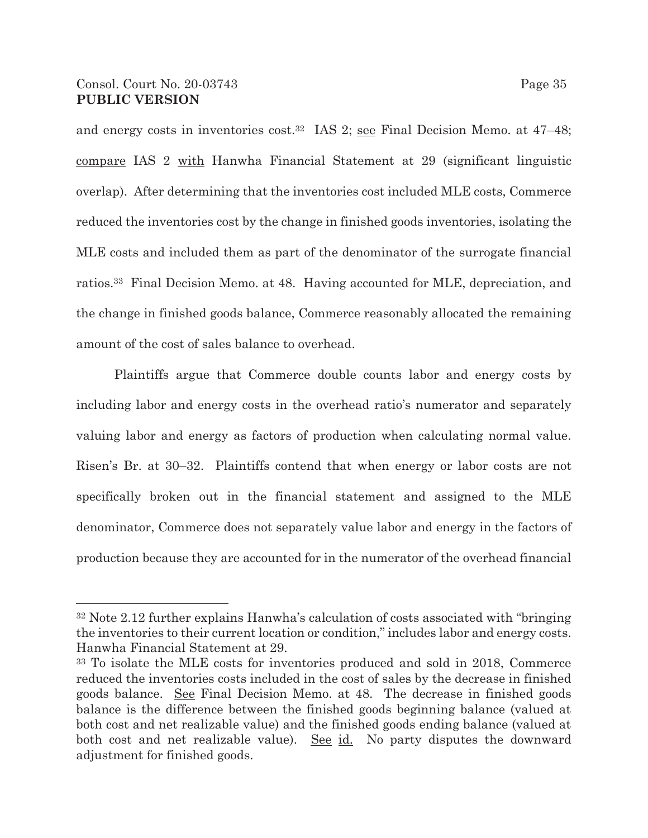and energy costs in inventories cost.<sup>32</sup> IAS 2; <u>see</u> Final Decision Memo. at 47–48; compare IAS 2 with Hanwha Financial Statement at 29 (significant linguistic overlap). After determining that the inventories cost included MLE costs, Commerce reduced the inventories cost by the change in finished goods inventories, isolating the MLE costs and included them as part of the denominator of the surrogate financial ratios.33 Final Decision Memo. at 48. Having accounted for MLE, depreciation, and the change in finished goods balance, Commerce reasonably allocated the remaining amount of the cost of sales balance to overhead.

Plaintiffs argue that Commerce double counts labor and energy costs by including labor and energy costs in the overhead ratio's numerator and separately valuing labor and energy as factors of production when calculating normal value. Risen's Br. at 30–32. Plaintiffs contend that when energy or labor costs are not specifically broken out in the financial statement and assigned to the MLE denominator, Commerce does not separately value labor and energy in the factors of production because they are accounted for in the numerator of the overhead financial

<sup>32</sup> Note 2.12 further explains Hanwha's calculation of costs associated with "bringing the inventories to their current location or condition," includes labor and energy costs. Hanwha Financial Statement at 29.

<sup>33</sup> To isolate the MLE costs for inventories produced and sold in 2018, Commerce reduced the inventories costs included in the cost of sales by the decrease in finished goods balance. See Final Decision Memo. at 48. The decrease in finished goods balance is the difference between the finished goods beginning balance (valued at both cost and net realizable value) and the finished goods ending balance (valued at both cost and net realizable value). See id. No party disputes the downward adjustment for finished goods.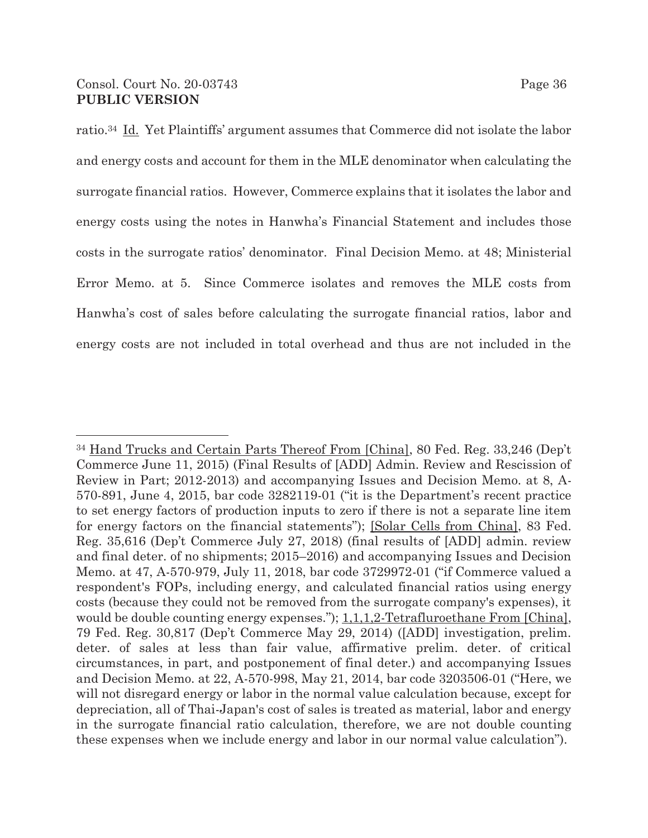ratio.34 Id. Yet Plaintiffs' argument assumes that Commerce did not isolate the labor and energy costs and account for them in the MLE denominator when calculating the surrogate financial ratios. However, Commerce explains that it isolates the labor and energy costs using the notes in Hanwha's Financial Statement and includes those costs in the surrogate ratios' denominator. Final Decision Memo. at 48; Ministerial Error Memo. at 5. Since Commerce isolates and removes the MLE costs from Hanwha's cost of sales before calculating the surrogate financial ratios, labor and energy costs are not included in total overhead and thus are not included in the

<sup>34</sup> Hand Trucks and Certain Parts Thereof From [China], 80 Fed. Reg. 33,246 (Dep't Commerce June 11, 2015) (Final Results of [ADD] Admin. Review and Rescission of Review in Part; 2012-2013) and accompanying Issues and Decision Memo. at 8, A-570-891, June 4, 2015, bar code 3282119-01 ("it is the Department's recent practice to set energy factors of production inputs to zero if there is not a separate line item for energy factors on the financial statements"); [Solar Cells from China], 83 Fed. Reg. 35,616 (Dep't Commerce July 27, 2018) (final results of [ADD] admin. review and final deter. of no shipments; 2015–2016) and accompanying Issues and Decision Memo. at 47, A-570-979, July 11, 2018, bar code 3729972-01 ("if Commerce valued a respondent's FOPs, including energy, and calculated financial ratios using energy costs (because they could not be removed from the surrogate company's expenses), it would be double counting energy expenses."); 1,1,1,2-Tetrafluroethane From [China], 79 Fed. Reg. 30,817 (Dep't Commerce May 29, 2014) ([ADD] investigation, prelim. deter. of sales at less than fair value, affirmative prelim. deter. of critical circumstances, in part, and postponement of final deter.) and accompanying Issues and Decision Memo. at 22, A-570-998, May 21, 2014, bar code 3203506-01 ("Here, we will not disregard energy or labor in the normal value calculation because, except for depreciation, all of Thai-Japan's cost of sales is treated as material, labor and energy in the surrogate financial ratio calculation, therefore, we are not double counting these expenses when we include energy and labor in our normal value calculation").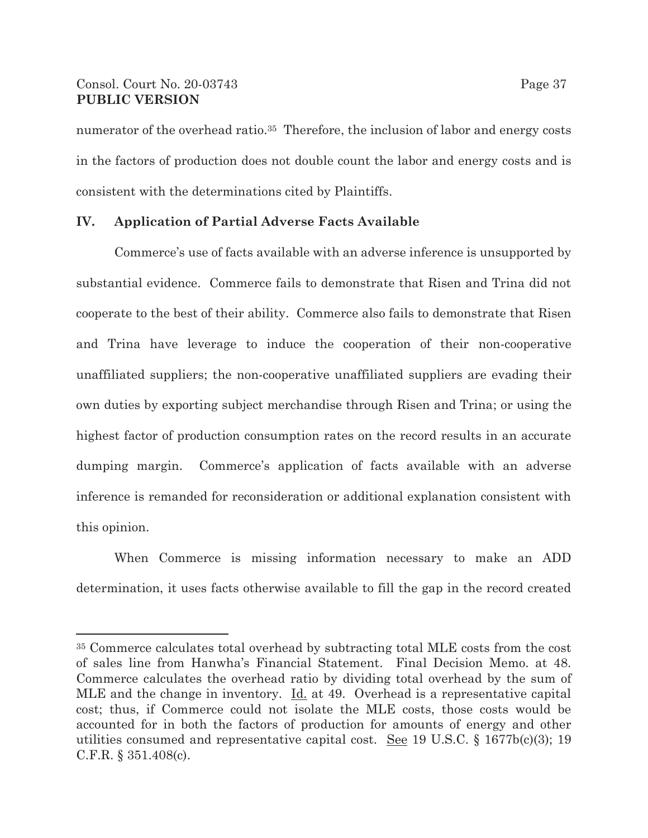## Consol. Court No. 20-03743 Page 37 **PUBLIC VERSION**

numerator of the overhead ratio.<sup>35</sup> Therefore, the inclusion of labor and energy costs in the factors of production does not double count the labor and energy costs and is consistent with the determinations cited by Plaintiffs.

### **IV. Application of Partial Adverse Facts Available**

Commerce's use of facts available with an adverse inference is unsupported by substantial evidence. Commerce fails to demonstrate that Risen and Trina did not cooperate to the best of their ability. Commerce also fails to demonstrate that Risen and Trina have leverage to induce the cooperation of their non-cooperative unaffiliated suppliers; the non-cooperative unaffiliated suppliers are evading their own duties by exporting subject merchandise through Risen and Trina; or using the highest factor of production consumption rates on the record results in an accurate dumping margin. Commerce's application of facts available with an adverse inference is remanded for reconsideration or additional explanation consistent with this opinion.

When Commerce is missing information necessary to make an ADD determination, it uses facts otherwise available to fill the gap in the record created

<sup>35</sup> Commerce calculates total overhead by subtracting total MLE costs from the cost of sales line from Hanwha's Financial Statement. Final Decision Memo. at 48. Commerce calculates the overhead ratio by dividing total overhead by the sum of MLE and the change in inventory. Id. at 49. Overhead is a representative capital cost; thus, if Commerce could not isolate the MLE costs, those costs would be accounted for in both the factors of production for amounts of energy and other utilities consumed and representative capital cost. See 19 U.S.C.  $\S$  1677b(c)(3); 19 C.F.R. § 351.408(c).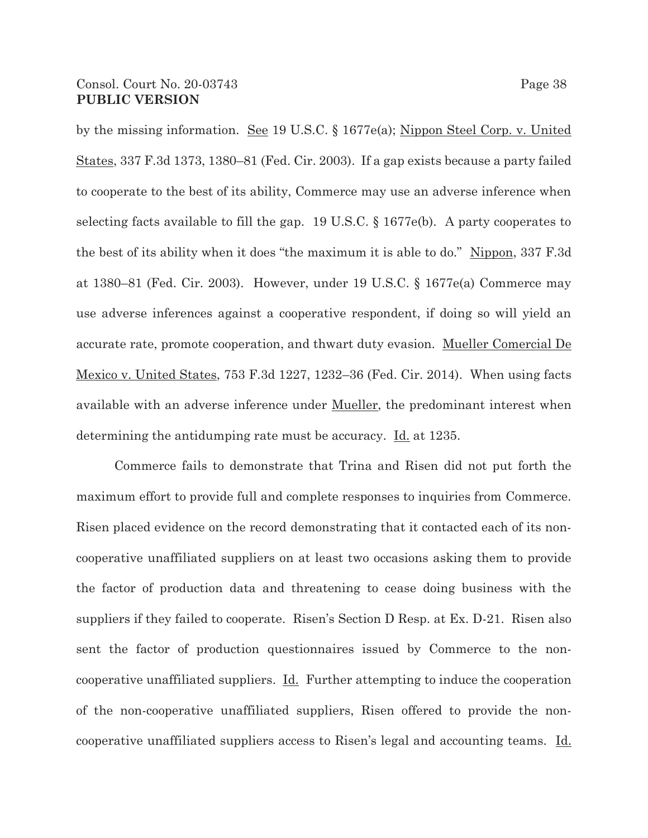by the missing information. <u>See</u> 19 U.S.C. § 1677e(a); Nippon Steel Corp. v. United States, 337 F.3d 1373, 1380–81 (Fed. Cir. 2003). If a gap exists because a party failed to cooperate to the best of its ability, Commerce may use an adverse inference when selecting facts available to fill the gap. 19 U.S.C. § 1677e(b). A party cooperates to the best of its ability when it does "the maximum it is able to do." Nippon, 337 F.3d at 1380–81 (Fed. Cir. 2003). However, under 19 U.S.C. § 1677e(a) Commerce may use adverse inferences against a cooperative respondent, if doing so will yield an accurate rate, promote cooperation, and thwart duty evasion. Mueller Comercial De Mexico v. United States, 753 F.3d 1227, 1232–36 (Fed. Cir. 2014). When using facts available with an adverse inference under Mueller, the predominant interest when determining the antidumping rate must be accuracy. Id. at 1235.

Commerce fails to demonstrate that Trina and Risen did not put forth the maximum effort to provide full and complete responses to inquiries from Commerce. Risen placed evidence on the record demonstrating that it contacted each of its noncooperative unaffiliated suppliers on at least two occasions asking them to provide the factor of production data and threatening to cease doing business with the suppliers if they failed to cooperate. Risen's Section D Resp. at Ex. D-21. Risen also sent the factor of production questionnaires issued by Commerce to the noncooperative unaffiliated suppliers. Id. Further attempting to induce the cooperation of the non-cooperative unaffiliated suppliers, Risen offered to provide the noncooperative unaffiliated suppliers access to Risen's legal and accounting teams. Id.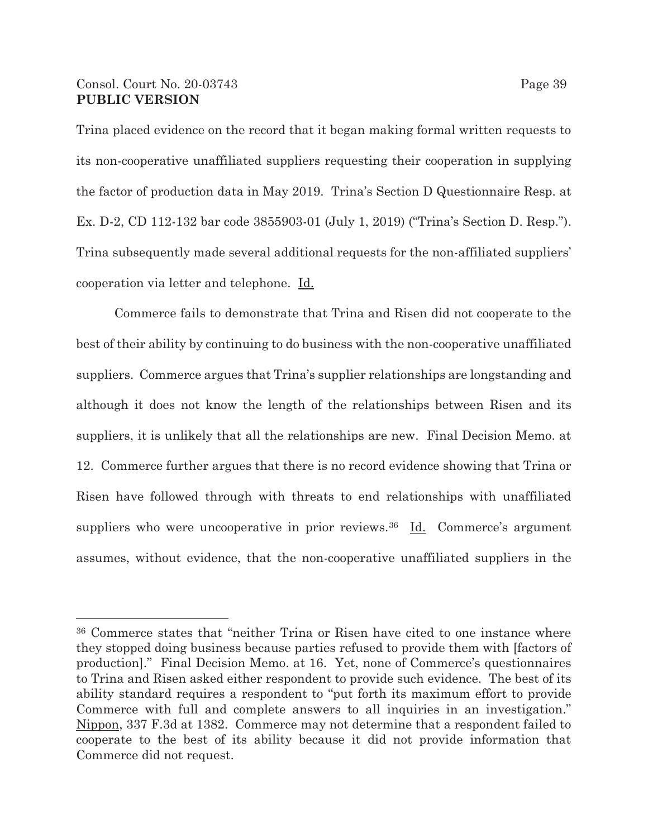## Consol. Court No. 20-03743 Page 39 **PUBLIC VERSION**

Trina placed evidence on the record that it began making formal written requests to its non-cooperative unaffiliated suppliers requesting their cooperation in supplying the factor of production data in May 2019. Trina's Section D Questionnaire Resp. at Ex. D-2, CD 112-132 bar code 3855903-01 (July 1, 2019) ("Trina's Section D. Resp."). Trina subsequently made several additional requests for the non-affiliated suppliers' cooperation via letter and telephone. Id.

Commerce fails to demonstrate that Trina and Risen did not cooperate to the best of their ability by continuing to do business with the non-cooperative unaffiliated suppliers. Commerce argues that Trina's supplier relationships are longstanding and although it does not know the length of the relationships between Risen and its suppliers, it is unlikely that all the relationships are new. Final Decision Memo. at 12. Commerce further argues that there is no record evidence showing that Trina or Risen have followed through with threats to end relationships with unaffiliated suppliers who were uncooperative in prior reviews.<sup>36</sup> Id. Commerce's argument assumes, without evidence, that the non-cooperative unaffiliated suppliers in the

<sup>36</sup> Commerce states that "neither Trina or Risen have cited to one instance where they stopped doing business because parties refused to provide them with [factors of production]." Final Decision Memo. at 16. Yet, none of Commerce's questionnaires to Trina and Risen asked either respondent to provide such evidence. The best of its ability standard requires a respondent to "put forth its maximum effort to provide Commerce with full and complete answers to all inquiries in an investigation." Nippon, 337 F.3d at 1382. Commerce may not determine that a respondent failed to cooperate to the best of its ability because it did not provide information that Commerce did not request.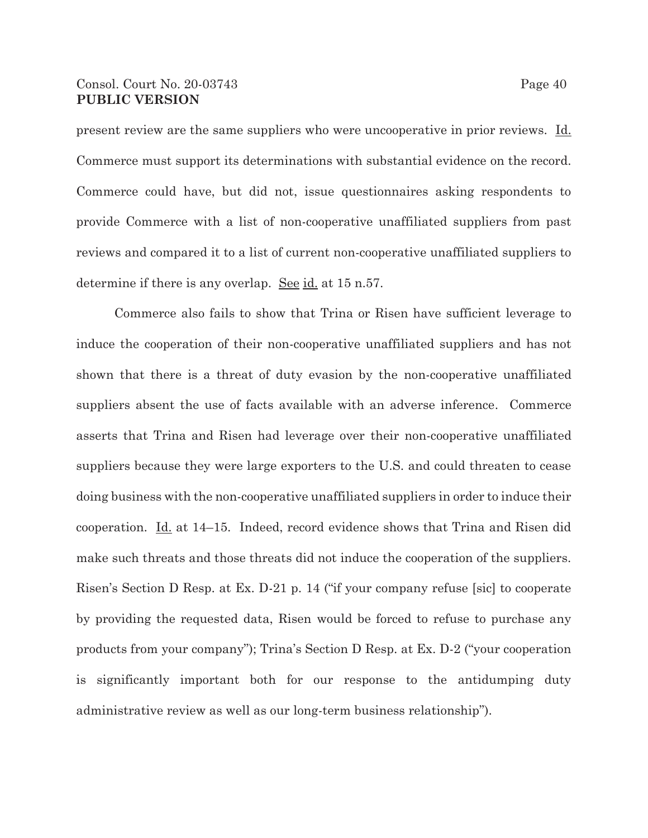### Consol. Court No. 20-03743 Page 40 **PUBLIC VERSION**

present review are the same suppliers who were uncooperative in prior reviews. Id. Commerce must support its determinations with substantial evidence on the record. Commerce could have, but did not, issue questionnaires asking respondents to provide Commerce with a list of non-cooperative unaffiliated suppliers from past reviews and compared it to a list of current non-cooperative unaffiliated suppliers to determine if there is any overlap. See id. at  $15$  n.57.

Commerce also fails to show that Trina or Risen have sufficient leverage to induce the cooperation of their non-cooperative unaffiliated suppliers and has not shown that there is a threat of duty evasion by the non-cooperative unaffiliated suppliers absent the use of facts available with an adverse inference. Commerce asserts that Trina and Risen had leverage over their non-cooperative unaffiliated suppliers because they were large exporters to the U.S. and could threaten to cease doing business with the non-cooperative unaffiliated suppliers in order to induce their cooperation. Id. at 14–15. Indeed, record evidence shows that Trina and Risen did make such threats and those threats did not induce the cooperation of the suppliers. Risen's Section D Resp. at Ex. D-21 p. 14 ("if your company refuse [sic] to cooperate by providing the requested data, Risen would be forced to refuse to purchase any products from your company"); Trina's Section D Resp. at Ex. D-2 ("your cooperation is significantly important both for our response to the antidumping duty administrative review as well as our long-term business relationship").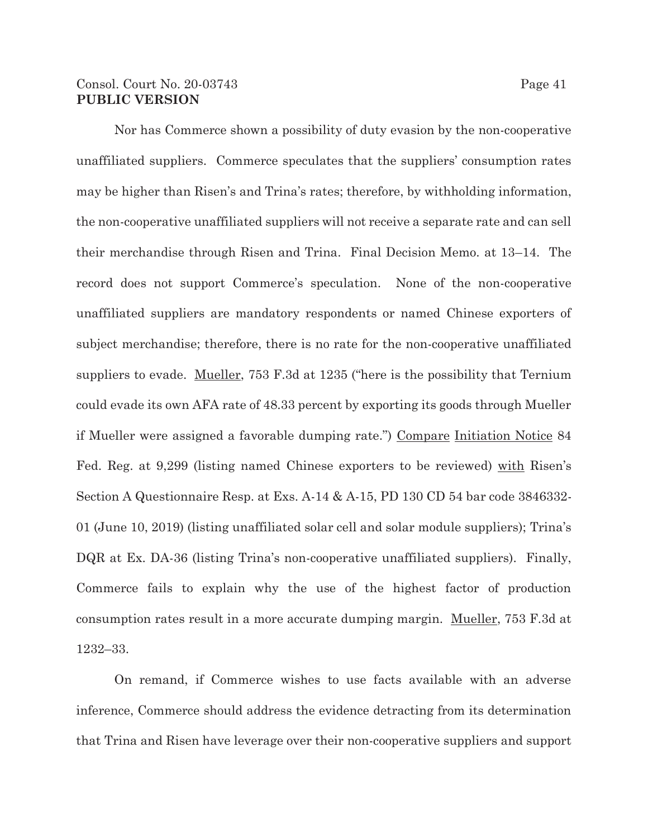## Consol. Court No. 20-03743 Page 41 **PUBLIC VERSION**

Nor has Commerce shown a possibility of duty evasion by the non-cooperative unaffiliated suppliers. Commerce speculates that the suppliers' consumption rates may be higher than Risen's and Trina's rates; therefore, by withholding information, the non-cooperative unaffiliated suppliers will not receive a separate rate and can sell their merchandise through Risen and Trina. Final Decision Memo. at 13–14. The record does not support Commerce's speculation. None of the non-cooperative unaffiliated suppliers are mandatory respondents or named Chinese exporters of subject merchandise; therefore, there is no rate for the non-cooperative unaffiliated suppliers to evade. Mueller, 753 F.3d at 1235 ("here is the possibility that Ternium could evade its own AFA rate of 48.33 percent by exporting its goods through Mueller if Mueller were assigned a favorable dumping rate.") Compare Initiation Notice 84 Fed. Reg. at 9,299 (listing named Chinese exporters to be reviewed) with Risen's Section A Questionnaire Resp. at Exs. A-14 & A-15, PD 130 CD 54 bar code 3846332- 01 (June 10, 2019) (listing unaffiliated solar cell and solar module suppliers); Trina's DQR at Ex. DA-36 (listing Trina's non-cooperative unaffiliated suppliers). Finally, Commerce fails to explain why the use of the highest factor of production consumption rates result in a more accurate dumping margin. Mueller, 753 F.3d at 1232–33.

On remand, if Commerce wishes to use facts available with an adverse inference, Commerce should address the evidence detracting from its determination that Trina and Risen have leverage over their non-cooperative suppliers and support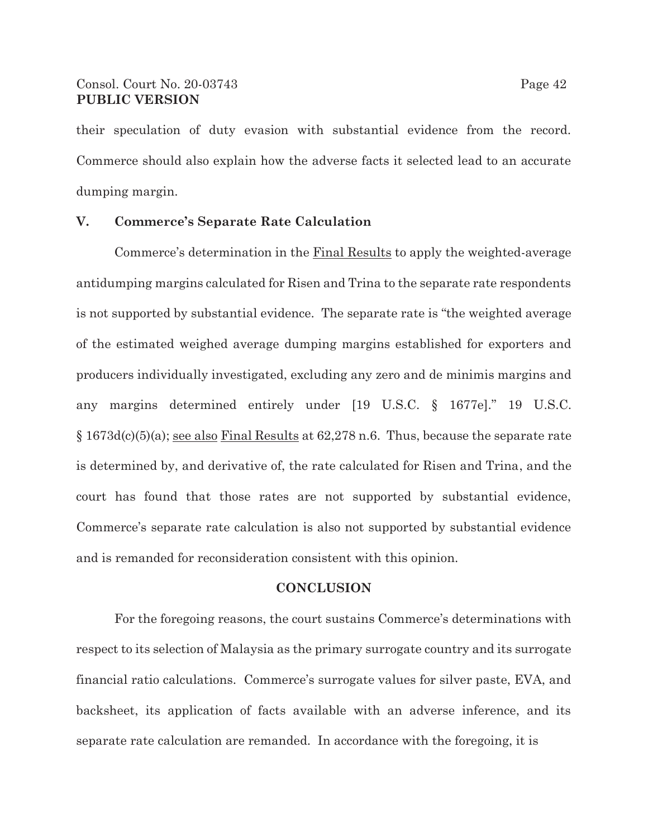their speculation of duty evasion with substantial evidence from the record. Commerce should also explain how the adverse facts it selected lead to an accurate dumping margin.

### **V. Commerce's Separate Rate Calculation**

 Commerce's determination in the Final Results to apply the weighted-average antidumping margins calculated for Risen and Trina to the separate rate respondents is not supported by substantial evidence. The separate rate is "the weighted average of the estimated weighed average dumping margins established for exporters and producers individually investigated, excluding any zero and de minimis margins and any margins determined entirely under [19 U.S.C. § 1677e]." 19 U.S.C. § 1673d(c)(5)(a); see also Final Results at 62,278 n.6. Thus, because the separate rate is determined by, and derivative of, the rate calculated for Risen and Trina, and the court has found that those rates are not supported by substantial evidence, Commerce's separate rate calculation is also not supported by substantial evidence and is remanded for reconsideration consistent with this opinion.

#### **CONCLUSION**

For the foregoing reasons, the court sustains Commerce's determinations with respect to its selection of Malaysia as the primary surrogate country and its surrogate financial ratio calculations. Commerce's surrogate values for silver paste, EVA, and backsheet, its application of facts available with an adverse inference, and its separate rate calculation are remanded. In accordance with the foregoing, it is